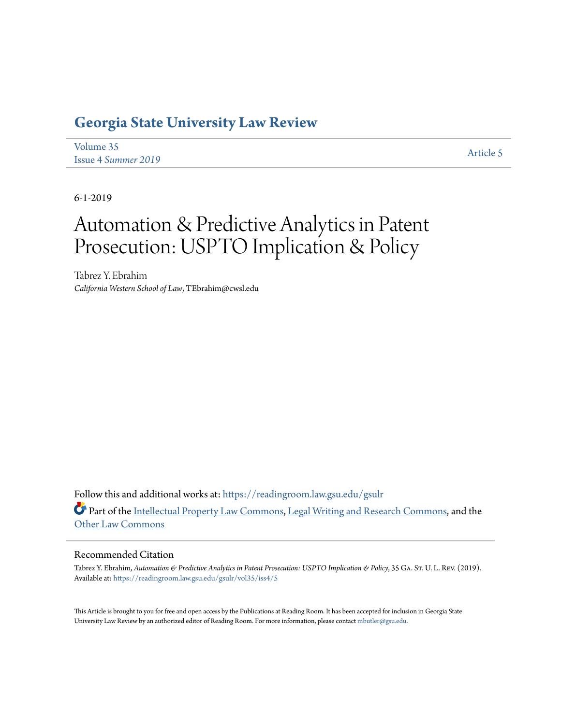# **[Georgia State University Law Review](https://readingroom.law.gsu.edu/gsulr?utm_source=readingroom.law.gsu.edu%2Fgsulr%2Fvol35%2Fiss4%2F5&utm_medium=PDF&utm_campaign=PDFCoverPages)**

| Volume 35           | Article 5 |
|---------------------|-----------|
| Issue 4 Summer 2019 |           |

6-1-2019

# Automation & Predictive Analytics in Patent Prosecution: USPTO Implication & Policy

Tabrez Y. Ebrahim *California Western School of Law*, TEbrahim@cwsl.edu

Follow this and additional works at: [https://readingroom.law.gsu.edu/gsulr](https://readingroom.law.gsu.edu/gsulr?utm_source=readingroom.law.gsu.edu%2Fgsulr%2Fvol35%2Fiss4%2F5&utm_medium=PDF&utm_campaign=PDFCoverPages) Part of the [Intellectual Property Law Commons,](http://network.bepress.com/hgg/discipline/896?utm_source=readingroom.law.gsu.edu%2Fgsulr%2Fvol35%2Fiss4%2F5&utm_medium=PDF&utm_campaign=PDFCoverPages) [Legal Writing and Research Commons,](http://network.bepress.com/hgg/discipline/614?utm_source=readingroom.law.gsu.edu%2Fgsulr%2Fvol35%2Fiss4%2F5&utm_medium=PDF&utm_campaign=PDFCoverPages) and the [Other Law Commons](http://network.bepress.com/hgg/discipline/621?utm_source=readingroom.law.gsu.edu%2Fgsulr%2Fvol35%2Fiss4%2F5&utm_medium=PDF&utm_campaign=PDFCoverPages)

### Recommended Citation

Tabrez Y. Ebrahim, *Automation & Predictive Analytics in Patent Prosecution: USPTO Implication & Policy*, 35 GA. St. U. L. Rev. (2019). Available at: [https://readingroom.law.gsu.edu/gsulr/vol35/iss4/5](https://readingroom.law.gsu.edu/gsulr/vol35/iss4/5?utm_source=readingroom.law.gsu.edu%2Fgsulr%2Fvol35%2Fiss4%2F5&utm_medium=PDF&utm_campaign=PDFCoverPages)

This Article is brought to you for free and open access by the Publications at Reading Room. It has been accepted for inclusion in Georgia State University Law Review by an authorized editor of Reading Room. For more information, please contact [mbutler@gsu.edu.](mailto:mbutler@gsu.edu)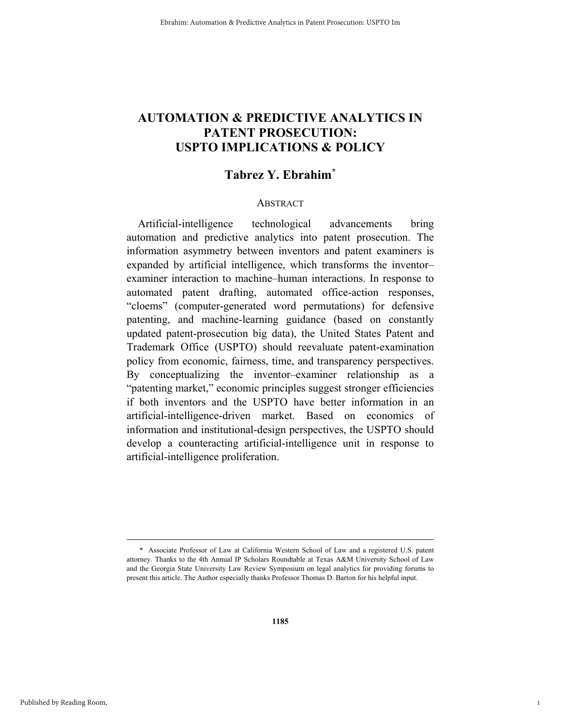# **AUTOMATION & PREDICTIVE ANALYTICS IN PATENT PROSECUTION: USPTO IMPLICATIONS & POLICY**

# **Tabrez Y. Ebrahim\***

### **ABSTRACT**

Artificial-intelligence technological advancements bring automation and predictive analytics into patent prosecution. The information asymmetry between inventors and patent examiners is expanded by artificial intelligence, which transforms the inventor– examiner interaction to machine–human interactions. In response to automated patent drafting, automated office-action responses, "cloems" (computer-generated word permutations) for defensive patenting, and machine-learning guidance (based on constantly updated patent-prosecution big data), the United States Patent and Trademark Office (USPTO) should reevaluate patent-examination policy from economic, fairness, time, and transparency perspectives. By conceptualizing the inventor–examiner relationship as a "patenting market," economic principles suggest stronger efficiencies if both inventors and the USPTO have better information in an artificial-intelligence-driven market. Based on economics of information and institutional-design perspectives, the USPTO should develop a counteracting artificial-intelligence unit in response to artificial-intelligence proliferation.

1

 <sup>\*</sup> Associate Professor of Law at California Western School of Law and a registered U.S. patent attorney. Thanks to the 4th Annual IP Scholars Roundtable at Texas A&M University School of Law and the Georgia State University Law Review Symposium on legal analytics for providing forums to present this article. The Author especially thanks Professor Thomas D. Barton for his helpful input.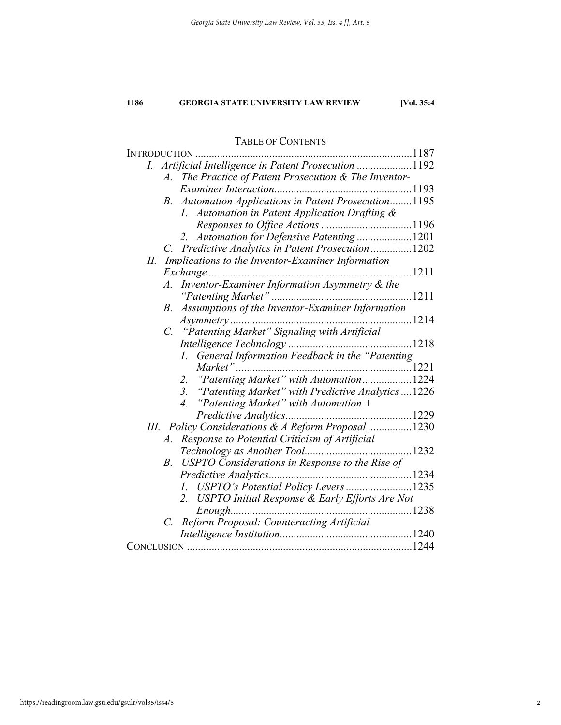# TABLE OF CONTENTS

|    |             | INTRODUCTION                                              |      |
|----|-------------|-----------------------------------------------------------|------|
| I. |             | Artificial Intelligence in Patent Prosecution 1192        |      |
|    |             | A. The Practice of Patent Prosecution & The Inventor-     |      |
|    |             |                                                           |      |
|    |             | B. Automation Applications in Patent Prosecution1195      |      |
|    |             | 1. Automation in Patent Application Drafting &            |      |
|    |             |                                                           |      |
|    |             | 2. Automation for Defensive Patenting 1201                |      |
|    |             | C. Predictive Analytics in Patent Prosecution  1202       |      |
| П. |             | Implications to the Inventor-Examiner Information         |      |
|    |             |                                                           | 1211 |
|    | $A_{\cdot}$ | Inventor-Examiner Information Asymmetry & the             |      |
|    |             |                                                           |      |
|    | B.          | Assumptions of the Inventor-Examiner Information          |      |
|    |             |                                                           |      |
|    |             | C. "Patenting Market" Signaling with Artificial           |      |
|    |             |                                                           |      |
|    |             | 1. General Information Feedback in the "Patenting         |      |
|    |             | Market"                                                   |      |
|    |             | "Patenting Market" with Automation1224<br>2.              |      |
|    |             | 3. "Patenting Market" with Predictive Analytics  1226     |      |
|    |             | 4. "Patenting Market" with Automation $+$                 |      |
|    |             |                                                           |      |
|    |             | III. Policy Considerations & A Reform Proposal 1230       |      |
|    | A.          | Response to Potential Criticism of Artificial             |      |
|    |             |                                                           |      |
|    | $B_{\cdot}$ | USPTO Considerations in Response to the Rise of           |      |
|    |             |                                                           |      |
|    |             | 1. USPTO's Potential Policy Levers1235                    |      |
|    |             | <b>USPTO Initial Response &amp; Early Efforts Are Not</b> |      |
|    |             |                                                           |      |
|    |             | C. Reform Proposal: Counteracting Artificial              |      |
|    |             |                                                           |      |
|    |             |                                                           |      |
|    |             |                                                           |      |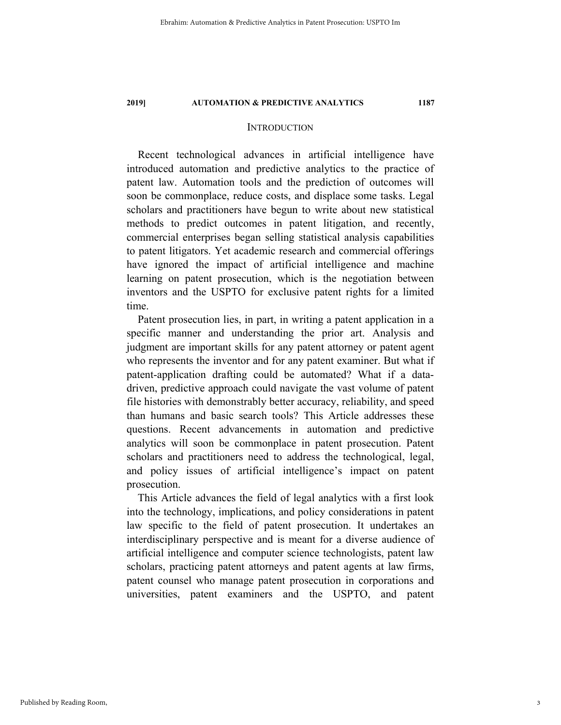### **INTRODUCTION**

Recent technological advances in artificial intelligence have introduced automation and predictive analytics to the practice of patent law. Automation tools and the prediction of outcomes will soon be commonplace, reduce costs, and displace some tasks. Legal scholars and practitioners have begun to write about new statistical methods to predict outcomes in patent litigation, and recently, commercial enterprises began selling statistical analysis capabilities to patent litigators. Yet academic research and commercial offerings have ignored the impact of artificial intelligence and machine learning on patent prosecution, which is the negotiation between inventors and the USPTO for exclusive patent rights for a limited time.

Patent prosecution lies, in part, in writing a patent application in a specific manner and understanding the prior art. Analysis and judgment are important skills for any patent attorney or patent agent who represents the inventor and for any patent examiner. But what if patent-application drafting could be automated? What if a datadriven, predictive approach could navigate the vast volume of patent file histories with demonstrably better accuracy, reliability, and speed than humans and basic search tools? This Article addresses these questions. Recent advancements in automation and predictive analytics will soon be commonplace in patent prosecution. Patent scholars and practitioners need to address the technological, legal, and policy issues of artificial intelligence's impact on patent prosecution.

This Article advances the field of legal analytics with a first look into the technology, implications, and policy considerations in patent law specific to the field of patent prosecution. It undertakes an interdisciplinary perspective and is meant for a diverse audience of artificial intelligence and computer science technologists, patent law scholars, practicing patent attorneys and patent agents at law firms, patent counsel who manage patent prosecution in corporations and universities, patent examiners and the USPTO, and patent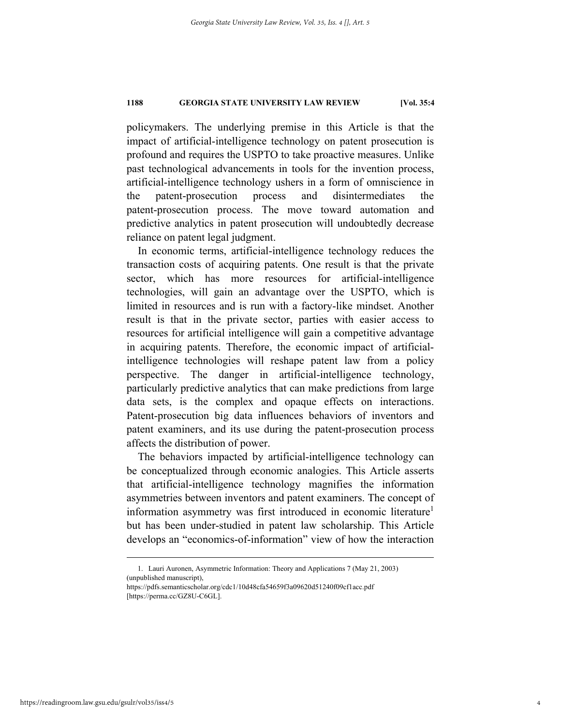policymakers. The underlying premise in this Article is that the impact of artificial-intelligence technology on patent prosecution is profound and requires the USPTO to take proactive measures. Unlike past technological advancements in tools for the invention process, artificial-intelligence technology ushers in a form of omniscience in the patent-prosecution process and disintermediates the patent-prosecution process. The move toward automation and predictive analytics in patent prosecution will undoubtedly decrease reliance on patent legal judgment.

In economic terms, artificial-intelligence technology reduces the transaction costs of acquiring patents. One result is that the private sector, which has more resources for artificial-intelligence technologies, will gain an advantage over the USPTO, which is limited in resources and is run with a factory-like mindset. Another result is that in the private sector, parties with easier access to resources for artificial intelligence will gain a competitive advantage in acquiring patents. Therefore, the economic impact of artificialintelligence technologies will reshape patent law from a policy perspective. The danger in artificial-intelligence technology, particularly predictive analytics that can make predictions from large data sets, is the complex and opaque effects on interactions. Patent-prosecution big data influences behaviors of inventors and patent examiners, and its use during the patent-prosecution process affects the distribution of power.

The behaviors impacted by artificial-intelligence technology can be conceptualized through economic analogies. This Article asserts that artificial-intelligence technology magnifies the information asymmetries between inventors and patent examiners. The concept of information asymmetry was first introduced in economic literature<sup>1</sup> but has been under-studied in patent law scholarship. This Article develops an "economics-of-information" view of how the interaction

 <sup>1.</sup> Lauri Auronen, Asymmetric Information: Theory and Applications 7 (May 21, 2003) (unpublished manuscript),

https://pdfs.semanticscholar.org/cdc1/10d48cfa54659f3a09620d51240f09cf1acc.pdf [https://perma.cc/GZ8U-C6GL].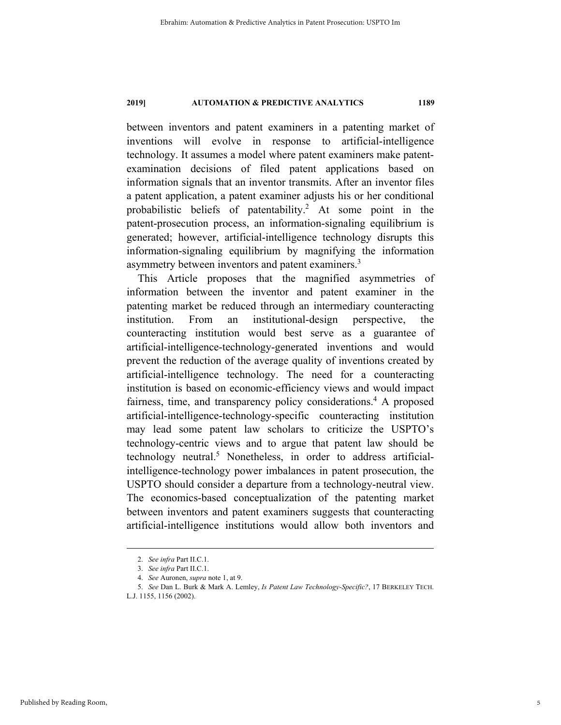between inventors and patent examiners in a patenting market of inventions will evolve in response to artificial-intelligence technology. It assumes a model where patent examiners make patentexamination decisions of filed patent applications based on information signals that an inventor transmits. After an inventor files a patent application, a patent examiner adjusts his or her conditional probabilistic beliefs of patentability.<sup>2</sup> At some point in the patent-prosecution process, an information-signaling equilibrium is generated; however, artificial-intelligence technology disrupts this information-signaling equilibrium by magnifying the information asymmetry between inventors and patent examiners.<sup>3</sup>

This Article proposes that the magnified asymmetries of information between the inventor and patent examiner in the patenting market be reduced through an intermediary counteracting institution. From an institutional-design perspective, the counteracting institution would best serve as a guarantee of artificial-intelligence-technology-generated inventions and would prevent the reduction of the average quality of inventions created by artificial-intelligence technology. The need for a counteracting institution is based on economic-efficiency views and would impact fairness, time, and transparency policy considerations.<sup>4</sup> A proposed artificial-intelligence-technology-specific counteracting institution may lead some patent law scholars to criticize the USPTO's technology-centric views and to argue that patent law should be technology neutral.<sup>5</sup> Nonetheless, in order to address artificialintelligence-technology power imbalances in patent prosecution, the USPTO should consider a departure from a technology-neutral view. The economics-based conceptualization of the patenting market between inventors and patent examiners suggests that counteracting artificial-intelligence institutions would allow both inventors and

 <sup>2.</sup> *See infra* Part II.C.1.

 <sup>3.</sup> *See infra* Part II.C.1.

<sup>4.</sup> *See* Auronen, *supra* note 1, at 9.

 <sup>5.</sup> *See* Dan L. Burk & Mark A. Lemley, *Is Patent Law Technology-Specific?*, 17 BERKELEY TECH.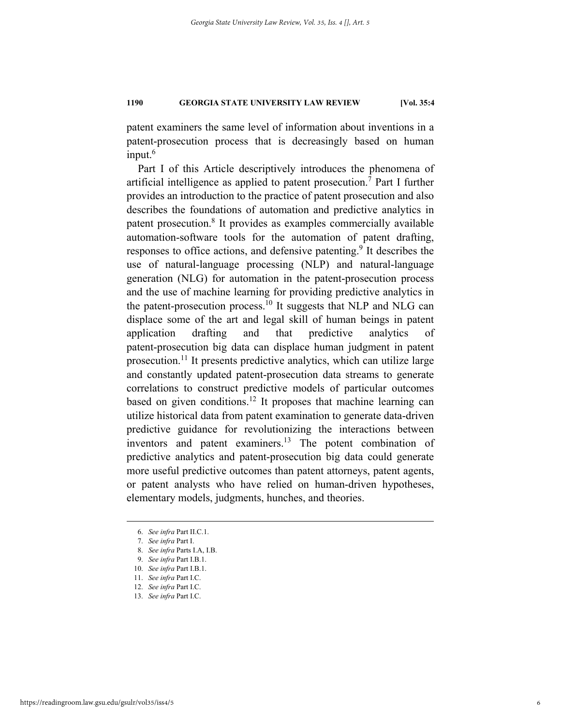patent examiners the same level of information about inventions in a patent-prosecution process that is decreasingly based on human input.<sup>6</sup>

Part I of this Article descriptively introduces the phenomena of artificial intelligence as applied to patent prosecution.<sup>7</sup> Part I further provides an introduction to the practice of patent prosecution and also describes the foundations of automation and predictive analytics in patent prosecution.<sup>8</sup> It provides as examples commercially available automation-software tools for the automation of patent drafting, responses to office actions, and defensive patenting.<sup>9</sup> It describes the use of natural-language processing (NLP) and natural-language generation (NLG) for automation in the patent-prosecution process and the use of machine learning for providing predictive analytics in the patent-prosecution process.<sup>10</sup> It suggests that NLP and NLG can displace some of the art and legal skill of human beings in patent application drafting and that predictive analytics of patent-prosecution big data can displace human judgment in patent prosecution.<sup>11</sup> It presents predictive analytics, which can utilize large and constantly updated patent-prosecution data streams to generate correlations to construct predictive models of particular outcomes based on given conditions.<sup>12</sup> It proposes that machine learning can utilize historical data from patent examination to generate data-driven predictive guidance for revolutionizing the interactions between inventors and patent examiners.<sup>13</sup> The potent combination of predictive analytics and patent-prosecution big data could generate more useful predictive outcomes than patent attorneys, patent agents, or patent analysts who have relied on human-driven hypotheses, elementary models, judgments, hunches, and theories.

 <sup>6.</sup> *See infra* Part II.C.1.

 <sup>7.</sup> *See infra* Part I.

<sup>8.</sup> *See infra* Parts I.A, I.B.

<sup>9.</sup> *See infra* Part I.B.1.

<sup>10.</sup> *See infra* Part I.B.1.

<sup>11.</sup> *See infra* Part I.C.

<sup>12.</sup> *See infra* Part I.C.

<sup>13.</sup> *See infra* Part I.C.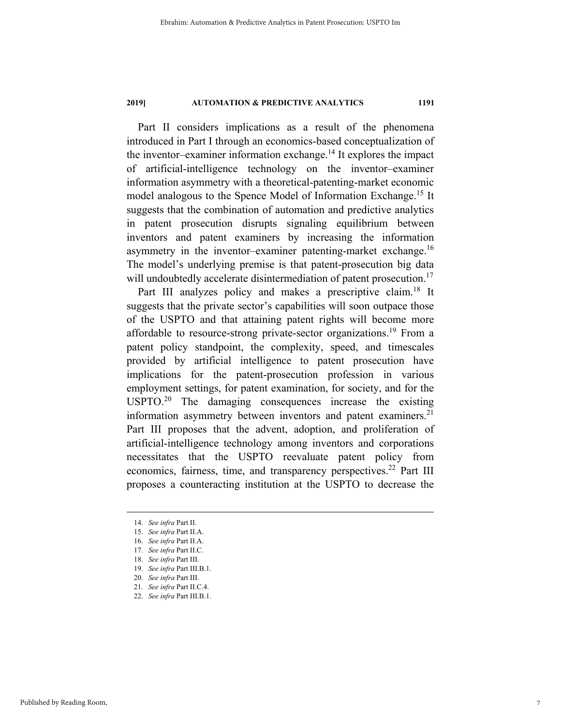Part II considers implications as a result of the phenomena introduced in Part I through an economics-based conceptualization of the inventor–examiner information exchange.<sup>14</sup> It explores the impact of artificial-intelligence technology on the inventor–examiner information asymmetry with a theoretical-patenting-market economic model analogous to the Spence Model of Information Exchange.15 It suggests that the combination of automation and predictive analytics in patent prosecution disrupts signaling equilibrium between inventors and patent examiners by increasing the information asymmetry in the inventor–examiner patenting-market exchange.<sup>16</sup> The model's underlying premise is that patent-prosecution big data will undoubtedly accelerate disintermediation of patent prosecution.<sup>17</sup>

Part III analyzes policy and makes a prescriptive claim.<sup>18</sup> It suggests that the private sector's capabilities will soon outpace those of the USPTO and that attaining patent rights will become more affordable to resource-strong private-sector organizations.<sup>19</sup> From a patent policy standpoint, the complexity, speed, and timescales provided by artificial intelligence to patent prosecution have implications for the patent-prosecution profession in various employment settings, for patent examination, for society, and for the USPTO.<sup>20</sup> The damaging consequences increase the existing information asymmetry between inventors and patent examiners. $2<sup>1</sup>$ Part III proposes that the advent, adoption, and proliferation of artificial-intelligence technology among inventors and corporations necessitates that the USPTO reevaluate patent policy from economics, fairness, time, and transparency perspectives.<sup>22</sup> Part III proposes a counteracting institution at the USPTO to decrease the

 <sup>14.</sup> *See infra* Part II.

<sup>15.</sup> *See infra* Part II.A.

 <sup>16.</sup> *See infra* Part II.A.

 <sup>17.</sup> *See infra* Part II.C.

 <sup>18.</sup> *See infra* Part III.

 <sup>19.</sup> *See infra* Part III.B.1.

 <sup>20.</sup> *See infra* Part III.

 <sup>21.</sup> *See infra* Part II.C.4.

 <sup>22.</sup> *See infra* Part III.B.1.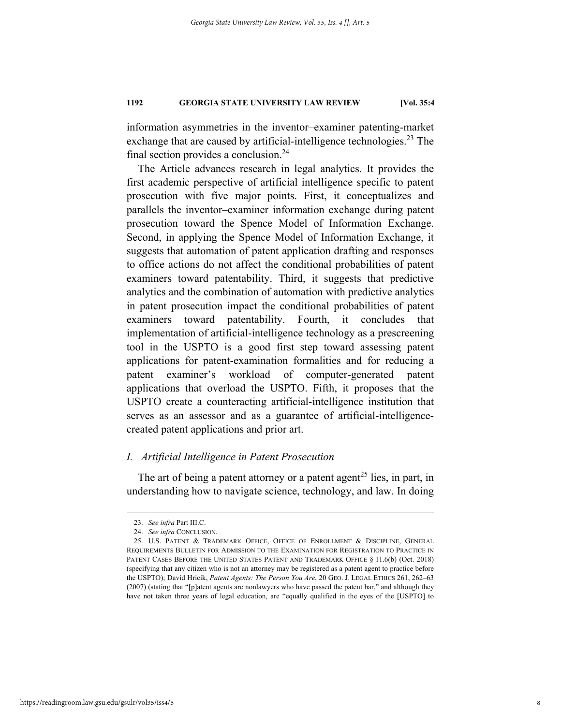information asymmetries in the inventor–examiner patenting-market exchange that are caused by artificial-intelligence technologies.<sup>23</sup> The final section provides a conclusion.24

The Article advances research in legal analytics. It provides the first academic perspective of artificial intelligence specific to patent prosecution with five major points. First, it conceptualizes and parallels the inventor–examiner information exchange during patent prosecution toward the Spence Model of Information Exchange. Second, in applying the Spence Model of Information Exchange, it suggests that automation of patent application drafting and responses to office actions do not affect the conditional probabilities of patent examiners toward patentability. Third, it suggests that predictive analytics and the combination of automation with predictive analytics in patent prosecution impact the conditional probabilities of patent examiners toward patentability. Fourth, it concludes that implementation of artificial-intelligence technology as a prescreening tool in the USPTO is a good first step toward assessing patent applications for patent-examination formalities and for reducing a patent examiner's workload of computer-generated patent applications that overload the USPTO. Fifth, it proposes that the USPTO create a counteracting artificial-intelligence institution that serves as an assessor and as a guarantee of artificial-intelligencecreated patent applications and prior art.

# *I. Artificial Intelligence in Patent Prosecution*

The art of being a patent attorney or a patent agent<sup>25</sup> lies, in part, in understanding how to navigate science, technology, and law. In doing

 <sup>23.</sup> *See infra* Part III.C.

 <sup>24.</sup> *See infra* CONCLUSION.

 <sup>25.</sup> U.S. PATENT & TRADEMARK OFFICE, OFFICE OF ENROLLMENT & DISCIPLINE, GENERAL REQUIREMENTS BULLETIN FOR ADMISSION TO THE EXAMINATION FOR REGISTRATION TO PRACTICE IN PATENT CASES BEFORE THE UNITED STATES PATENT AND TRADEMARK OFFICE § 11.6(b) (Oct. 2018) (specifying that any citizen who is not an attorney may be registered as a patent agent to practice before the USPTO); David Hricik, *Patent Agents: The Person You Are*, 20 GEO. J. LEGAL ETHICS 261, 262–63 (2007) (stating that "[p]atent agents are nonlawyers who have passed the patent bar," and although they have not taken three years of legal education, are "equally qualified in the eyes of the [USPTO] to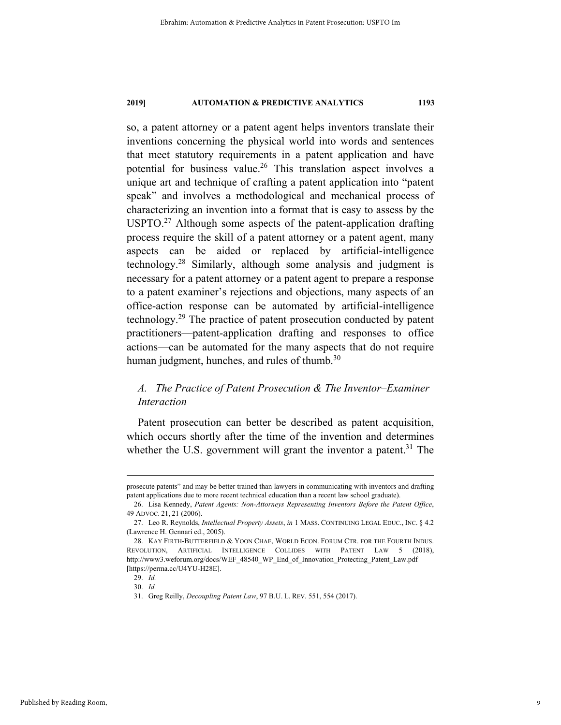so, a patent attorney or a patent agent helps inventors translate their inventions concerning the physical world into words and sentences that meet statutory requirements in a patent application and have potential for business value.<sup>26</sup> This translation aspect involves a unique art and technique of crafting a patent application into "patent speak" and involves a methodological and mechanical process of characterizing an invention into a format that is easy to assess by the USPTO.<sup>27</sup> Although some aspects of the patent-application drafting process require the skill of a patent attorney or a patent agent, many aspects can be aided or replaced by artificial-intelligence technology.28 Similarly, although some analysis and judgment is necessary for a patent attorney or a patent agent to prepare a response to a patent examiner's rejections and objections, many aspects of an office-action response can be automated by artificial-intelligence technology.29 The practice of patent prosecution conducted by patent practitioners—patent-application drafting and responses to office actions—can be automated for the many aspects that do not require human judgment, hunches, and rules of thumb.<sup>30</sup>

# *A. The Practice of Patent Prosecution & The Inventor–Examiner Interaction*

Patent prosecution can better be described as patent acquisition, which occurs shortly after the time of the invention and determines whether the U.S. government will grant the inventor a patent.<sup>31</sup> The

prosecute patents" and may be better trained than lawyers in communicating with inventors and drafting patent applications due to more recent technical education than a recent law school graduate).

 <sup>26.</sup> Lisa Kennedy, *Patent Agents: Non-Attorneys Representing Inventors Before the Patent Office*, 49 ADVOC. 21, 21 (2006).

 <sup>27.</sup> Leo R. Reynolds, *Intellectual Property Assets*, *in* 1 MASS. CONTINUING LEGAL EDUC., INC. § 4.2 (Lawrence H. Gennari ed., 2005).

 <sup>28.</sup> KAY FIRTH-BUTTERFIELD & YOON CHAE, WORLD ECON. FORUM CTR. FOR THE FOURTH INDUS. REVOLUTION, ARTIFICIAL INTELLIGENCE COLLIDES WITH PATENT LAW 5 (2018), http://www3.weforum.org/docs/WEF\_48540\_WP\_End\_of\_Innovation\_Protecting\_Patent\_Law.pdf [https://perma.cc/U4YU-H28E].

 <sup>29.</sup> *Id.*

 <sup>30.</sup> *Id.*

 <sup>31.</sup> Greg Reilly, *Decoupling Patent Law*, 97 B.U. L. REV. 551, 554 (2017).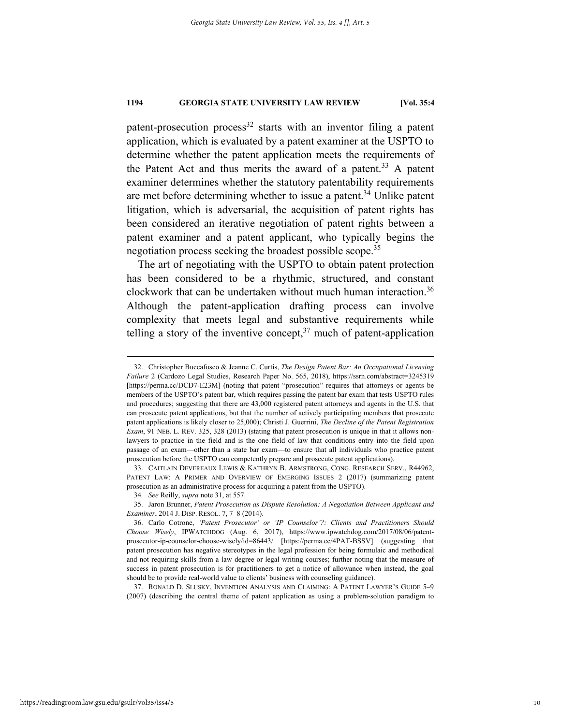patent-prosecution process<sup>32</sup> starts with an inventor filing a patent application, which is evaluated by a patent examiner at the USPTO to determine whether the patent application meets the requirements of the Patent Act and thus merits the award of a patent.<sup>33</sup> A patent examiner determines whether the statutory patentability requirements are met before determining whether to issue a patent.<sup>34</sup> Unlike patent litigation, which is adversarial, the acquisition of patent rights has been considered an iterative negotiation of patent rights between a patent examiner and a patent applicant, who typically begins the negotiation process seeking the broadest possible scope.<sup>35</sup>

The art of negotiating with the USPTO to obtain patent protection has been considered to be a rhythmic, structured, and constant clockwork that can be undertaken without much human interaction. 36 Although the patent-application drafting process can involve complexity that meets legal and substantive requirements while telling a story of the inventive concept, $37$  much of patent-application

 33. CAITLAIN DEVEREAUX LEWIS & KATHRYN B. ARMSTRONG, CONG. RESEARCH SERV., R44962, PATENT LAW: A PRIMER AND OVERVIEW OF EMERGING ISSUES 2 (2017) (summarizing patent prosecution as an administrative process for acquiring a patent from the USPTO).

 35. Jaron Brunner, *Patent Prosecution as Dispute Resolution: A Negotiation Between Applicant and Examiner*, 2014 J. DISP. RESOL. 7, 7–8 (2014).

 37. RONALD D. SLUSKY, INVENTION ANALYSIS AND CLAIMING: A PATENT LAWYER'S GUIDE 5–9 (2007) (describing the central theme of patent application as using a problem-solution paradigm to

 <sup>32.</sup> Christopher Buccafusco & Jeanne C. Curtis, *The Design Patent Bar: An Occupational Licensing Failure* 2 (Cardozo Legal Studies, Research Paper No. 565, 2018), https://ssrn.com/abstract=3245319 [https://perma.cc/DCD7-E23M] (noting that patent "prosecution" requires that attorneys or agents be members of the USPTO's patent bar, which requires passing the patent bar exam that tests USPTO rules and procedures; suggesting that there are 43,000 registered patent attorneys and agents in the U.S. that can prosecute patent applications, but that the number of actively participating members that prosecute patent applications is likely closer to 25,000); Christi J. Guerrini, *The Decline of the Patent Registration Exam*, 91 NEB. L. REV. 325, 328 (2013) (stating that patent prosecution is unique in that it allows nonlawyers to practice in the field and is the one field of law that conditions entry into the field upon passage of an exam—other than a state bar exam—to ensure that all individuals who practice patent prosecution before the USPTO can competently prepare and prosecute patent applications).

<sup>34</sup>*. See* Reilly, *supra* note 31, at 557.

 <sup>36.</sup> Carlo Cotrone, *'Patent Prosecutor' or 'IP Counselor'?: Clients and Practitioners Should Choose Wisely*, IPWATCHDOG (Aug. 6, 2017), https://www.ipwatchdog.com/2017/08/06/patentprosecutor-ip-counselor-choose-wisely/id=86443/ [https://perma.cc/4PAT-BSSV] (suggesting that patent prosecution has negative stereotypes in the legal profession for being formulaic and methodical and not requiring skills from a law degree or legal writing courses; further noting that the measure of success in patent prosecution is for practitioners to get a notice of allowance when instead, the goal should be to provide real-world value to clients' business with counseling guidance).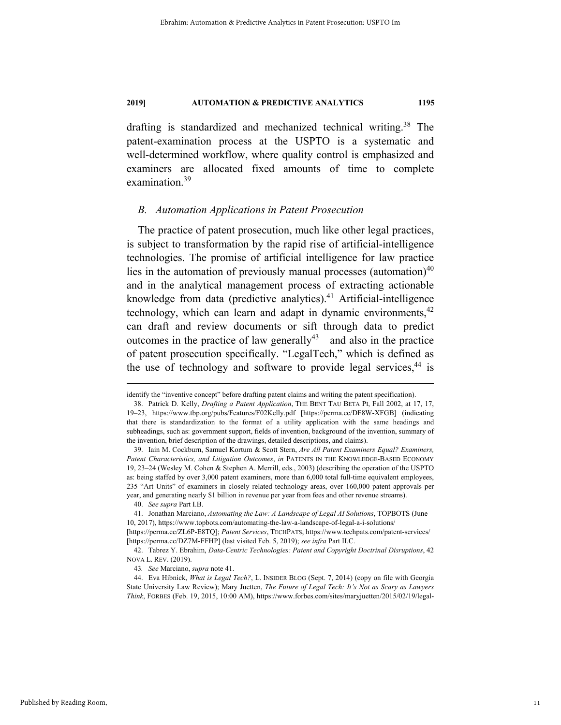drafting is standardized and mechanized technical writing.<sup>38</sup> The patent-examination process at the USPTO is a systematic and well-determined workflow, where quality control is emphasized and examiners are allocated fixed amounts of time to complete examination.<sup>39</sup>

#### *B. Automation Applications in Patent Prosecution*

The practice of patent prosecution, much like other legal practices, is subject to transformation by the rapid rise of artificial-intelligence technologies. The promise of artificial intelligence for law practice lies in the automation of previously manual processes (automation) $40$ and in the analytical management process of extracting actionable knowledge from data (predictive analytics). $41$  Artificial-intelligence technology, which can learn and adapt in dynamic environments,  $42$ can draft and review documents or sift through data to predict outcomes in the practice of law generally<sup>43</sup>—and also in the practice of patent prosecution specifically. "LegalTech," which is defined as the use of technology and software to provide legal services,  $44$  is

40. *See supra* Part I.B.

identify the "inventive concept" before drafting patent claims and writing the patent specification).

 <sup>38.</sup> Patrick D. Kelly, *Drafting a Patent Application*, THE BENT TAU BETA PI, Fall 2002, at 17, 17, 19–23, https://www.tbp.org/pubs/Features/F02Kelly.pdf [https://perma.cc/DF8W-XFGB] (indicating that there is standardization to the format of a utility application with the same headings and subheadings, such as: government support, fields of invention, background of the invention, summary of the invention, brief description of the drawings, detailed descriptions, and claims).

 <sup>39.</sup> Iain M. Cockburn, Samuel Kortum & Scott Stern, *Are All Patent Examiners Equal? Examiners, Patent Characteristics, and Litigation Outcomes*, *in* PATENTS IN THE KNOWLEDGE-BASED ECONOMY 19, 23–24 (Wesley M. Cohen & Stephen A. Merrill, eds., 2003) (describing the operation of the USPTO as: being staffed by over 3,000 patent examiners, more than 6,000 total full-time equivalent employees, 235 "Art Units" of examiners in closely related technology areas, over 160,000 patent approvals per year, and generating nearly \$1 billion in revenue per year from fees and other revenue streams).

 <sup>41.</sup> Jonathan Marciano, *Automating the Law: A Landscape of Legal AI Solutions*, TOPBOTS (June 10, 2017), https://www.topbots.com/automating-the-law-a-landscape-of-legal-a-i-solutions/

<sup>[</sup>https://perma.cc/ZL6P-E8TQ]; *Patent Services*, TECHPATS, https://www.techpats.com/patent-services/ [https://perma.cc/DZ7M-FFHP] (last visited Feb. 5, 2019); *see infra* Part II.C.

 <sup>42.</sup> Tabrez Y. Ebrahim, *Data-Centric Technologies: Patent and Copyright Doctrinal Disruptions*, 42 NOVA L. REV. (2019).

<sup>43</sup>*. See* Marciano, *supra* note 41.

 <sup>44.</sup> Eva Hibnick, *What is Legal Tech?*, L. INSIDER BLOG (Sept. 7, 2014) (copy on file with Georgia State University Law Review); Mary Juetten, *The Future of Legal Tech: It's Not as Scary as Lawyers Think*, FORBES (Feb. 19, 2015, 10:00 AM), https://www.forbes.com/sites/maryjuetten/2015/02/19/legal-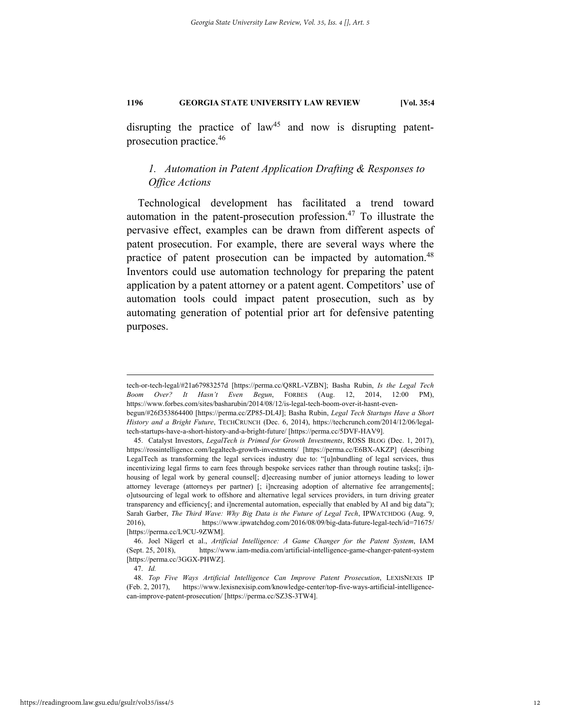disrupting the practice of  $law<sup>45</sup>$  and now is disrupting patentprosecution practice.46

# *1. Automation in Patent Application Drafting & Responses to Office Actions*

Technological development has facilitated a trend toward automation in the patent-prosecution profession. $47$  To illustrate the pervasive effect, examples can be drawn from different aspects of patent prosecution. For example, there are several ways where the practice of patent prosecution can be impacted by automation.<sup>48</sup> Inventors could use automation technology for preparing the patent application by a patent attorney or a patent agent. Competitors' use of automation tools could impact patent prosecution, such as by automating generation of potential prior art for defensive patenting purposes.

tech-or-tech-legal/#21a67983257d [https://perma.cc/Q8RL-VZBN]; Basha Rubin, *Is the Legal Tech Boom Over? It Hasn't Even Begun*, FORBES (Aug. 12, 2014, 12:00 PM), https://www.forbes.com/sites/basharubin/2014/08/12/is-legal-tech-boom-over-it-hasnt-even-

begun/#26f353864400 [https://perma.cc/ZP85-DL4J]; Basha Rubin, *Legal Tech Startups Have a Short History and a Bright Future*, TECHCRUNCH (Dec. 6, 2014), https://techcrunch.com/2014/12/06/legaltech-startups-have-a-short-history-and-a-bright-future/ [https://perma.cc/5DVF-HAV9].

 <sup>45.</sup> Catalyst Investors, *LegalTech is Primed for Growth Investments*, ROSS BLOG (Dec. 1, 2017), https://rossintelligence.com/legaltech-growth-investments/ [https://perma.cc/E6BX-AKZP] (describing LegalTech as transforming the legal services industry due to: "[u]nbundling of legal services, thus incentivizing legal firms to earn fees through bespoke services rather than through routine tasks[; i]nhousing of legal work by general counsel[; d]ecreasing number of junior attorneys leading to lower attorney leverage (attorneys per partner) [; i]ncreasing adoption of alternative fee arrangements[; o]utsourcing of legal work to offshore and alternative legal services providers, in turn driving greater transparency and efficiency[; and i]ncremental automation, especially that enabled by AI and big data"); Sarah Garber, *The Third Wave: Why Big Data is the Future of Legal Tech*, IPWATCHDOG (Aug. 9, 2016), https://www.ipwatchdog.com/2016/08/09/big-data-future-legal-tech/id=71675/ [https://perma.cc/L9CU-9ZWM].

 <sup>46.</sup> Joel Nägerl et al., *Artificial Intelligence: A Game Changer for the Patent System*, IAM (Sept. 25, 2018), https://www.iam-media.com/artificial-intelligence-game-changer-patent-system [https://perma.cc/3GGX-PHWZ].

 <sup>47.</sup> *Id.* 

 <sup>48.</sup> *Top Five Ways Artificial Intelligence Can Improve Patent Prosecution*, LEXISNEXIS IP (Feb. 2, 2017), https://www.lexisnexisip.com/knowledge-center/top-five-ways-artificial-intelligencecan-improve-patent-prosecution/ [https://perma.cc/SZ3S-3TW4].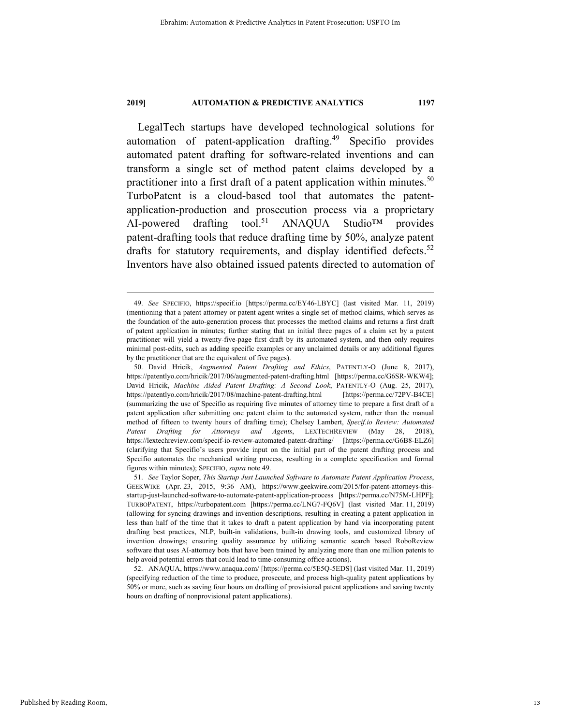LegalTech startups have developed technological solutions for automation of patent-application drafting.<sup>49</sup> Specifio provides automated patent drafting for software-related inventions and can transform a single set of method patent claims developed by a practitioner into a first draft of a patent application within minutes.<sup>50</sup> TurboPatent is a cloud-based tool that automates the patentapplication-production and prosecution process via a proprietary AI-powered drafting tool.<sup>51</sup> ANAQUA Studio<sup>TM</sup> provides patent-drafting tools that reduce drafting time by 50%, analyze patent drafts for statutory requirements, and display identified defects. $52$ Inventors have also obtained issued patents directed to automation of

 <sup>49.</sup> *See* SPECIFIO, https://specif.io [https://perma.cc/EY46-LBYC] (last visited Mar. 11, 2019) (mentioning that a patent attorney or patent agent writes a single set of method claims, which serves as the foundation of the auto-generation process that processes the method claims and returns a first draft of patent application in minutes; further stating that an initial three pages of a claim set by a patent practitioner will yield a twenty-five-page first draft by its automated system, and then only requires minimal post-edits, such as adding specific examples or any unclaimed details or any additional figures by the practitioner that are the equivalent of five pages).

 <sup>50.</sup> David Hricik, *Augmented Patent Drafting and Ethics*, PATENTLY-O (June 8, 2017), https://patentlyo.com/hricik/2017/06/augmented-patent-drafting.html [https://perma.cc/G6SR-WKW4]; David Hricik, *Machine Aided Patent Drafting: A Second Look*, PATENTLY-O (Aug. 25, 2017), https://patentlyo.com/hricik/2017/08/machine-patent-drafting.html [https://perma.cc/72PV-B4CE] (summarizing the use of Specifio as requiring five minutes of attorney time to prepare a first draft of a patent application after submitting one patent claim to the automated system, rather than the manual method of fifteen to twenty hours of drafting time); Chelsey Lambert, *Specif.io Review: Automated Patent Drafting for Attorneys and Agents*, LEXTECHREVIEW (May 28, 2018), https://lextechreview.com/specif-io-review-automated-patent-drafting/ [https://perma.cc/G6B8-ELZ6] (clarifying that Specifio's users provide input on the initial part of the patent drafting process and Specifio automates the mechanical writing process, resulting in a complete specification and formal figures within minutes); SPECIFIO, *supra* note 49.

 <sup>51.</sup> *See* Taylor Soper, *This Startup Just Launched Software to Automate Patent Application Process*, GEEKWIRE (Apr. 23, 2015, 9:36 AM), https://www.geekwire.com/2015/for-patent-attorneys-thisstartup-just-launched-software-to-automate-patent-application-process [https://perma.cc/N75M-LHPF]; TURBOPATENT, https://turbopatent.com [https://perma.cc/LNG7-FQ6V] (last visited Mar. 11, 2019) (allowing for syncing drawings and invention descriptions, resulting in creating a patent application in less than half of the time that it takes to draft a patent application by hand via incorporating patent drafting best practices, NLP, built-in validations, built-in drawing tools, and customized library of invention drawings; ensuring quality assurance by utilizing semantic search based RoboReview software that uses AI-attorney bots that have been trained by analyzing more than one million patents to help avoid potential errors that could lead to time-consuming office actions).

 <sup>52.</sup> ANAQUA, https://www.anaqua.com/ [https://perma.cc/5E5Q-5EDS] (last visited Mar. 11, 2019) (specifying reduction of the time to produce, prosecute, and process high-quality patent applications by 50% or more, such as saving four hours on drafting of provisional patent applications and saving twenty hours on drafting of nonprovisional patent applications).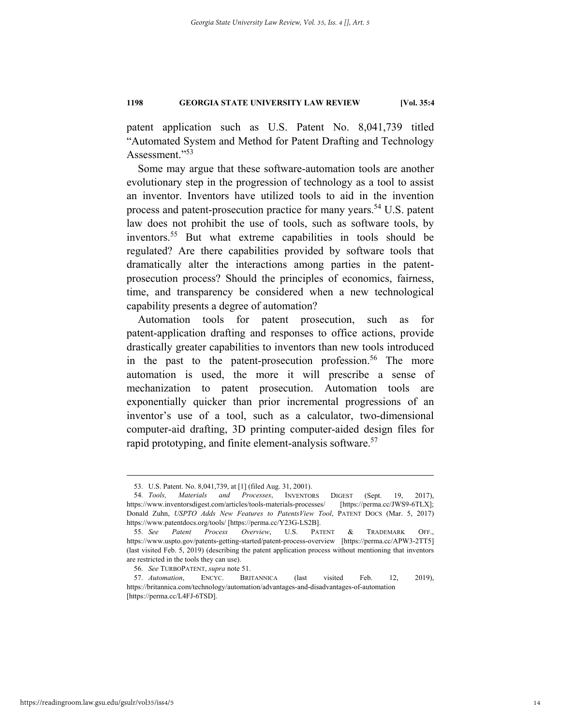patent application such as U.S. Patent No. 8,041,739 titled "Automated System and Method for Patent Drafting and Technology Assessment."<sup>53</sup>

Some may argue that these software-automation tools are another evolutionary step in the progression of technology as a tool to assist an inventor. Inventors have utilized tools to aid in the invention process and patent-prosecution practice for many years.<sup>54</sup> U.S. patent law does not prohibit the use of tools, such as software tools, by inventors.55 But what extreme capabilities in tools should be regulated? Are there capabilities provided by software tools that dramatically alter the interactions among parties in the patentprosecution process? Should the principles of economics, fairness, time, and transparency be considered when a new technological capability presents a degree of automation?

Automation tools for patent prosecution, such as for patent-application drafting and responses to office actions, provide drastically greater capabilities to inventors than new tools introduced in the past to the patent-prosecution profession.<sup>56</sup> The more automation is used, the more it will prescribe a sense of mechanization to patent prosecution. Automation tools are exponentially quicker than prior incremental progressions of an inventor's use of a tool, such as a calculator, two-dimensional computer-aid drafting, 3D printing computer-aided design files for rapid prototyping, and finite element-analysis software.<sup>57</sup>

 <sup>53.</sup> U.S. Patent. No. 8,041,739, at [1] (filed Aug. 31, 2001).

 <sup>54.</sup> *Tools, Materials and Processes*, INVENTORS DIGEST (Sept. 19, 2017), https://www.inventorsdigest.com/articles/tools-materials-processes/ [https://perma.cc/JWS9-6TLX]; Donald Zuhn, *USPTO Adds New Features to PatentsView Tool*, PATENT DOCS (Mar. 5, 2017) https://www.patentdocs.org/tools/ [https://perma.cc/Y23G-LS2B].

 <sup>55.</sup> *See Patent Process Overview*, U.S. PATENT & TRADEMARK OFF., https://www.uspto.gov/patents-getting-started/patent-process-overview [https://perma.cc/APW3-2TT5] (last visited Feb. 5, 2019) (describing the patent application process without mentioning that inventors are restricted in the tools they can use).

 <sup>56.</sup> *See* TURBOPATENT, *supra* note 51.

 <sup>57.</sup> *Automation*, ENCYC. BRITANNICA (last visited Feb. 12, 2019), https://britannica.com/technology/automation/advantages-and-disadvantages-of-automation [https://perma.cc/L4FJ-6TSD].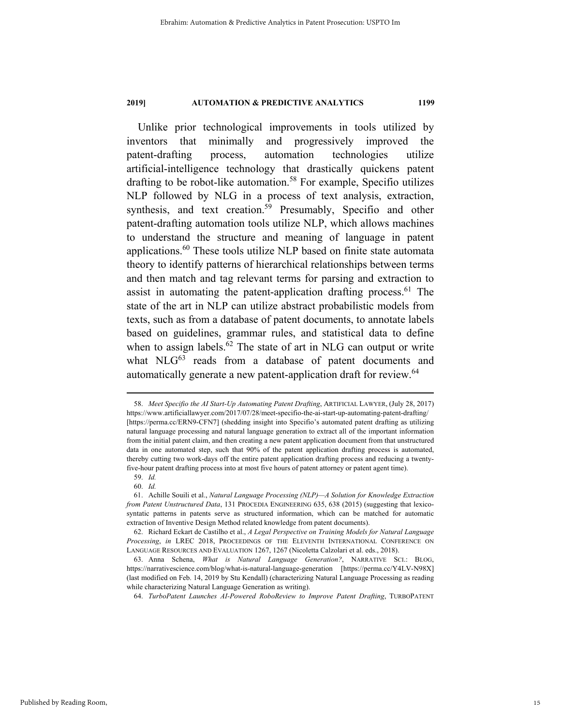Unlike prior technological improvements in tools utilized by inventors that minimally and progressively improved the patent-drafting process, automation technologies utilize artificial-intelligence technology that drastically quickens patent drafting to be robot-like automation.<sup>58</sup> For example, Specifio utilizes NLP followed by NLG in a process of text analysis, extraction, synthesis, and text creation.<sup>59</sup> Presumably, Specifio and other patent-drafting automation tools utilize NLP, which allows machines to understand the structure and meaning of language in patent applications.60 These tools utilize NLP based on finite state automata theory to identify patterns of hierarchical relationships between terms and then match and tag relevant terms for parsing and extraction to assist in automating the patent-application drafting process. $61$  The state of the art in NLP can utilize abstract probabilistic models from texts, such as from a database of patent documents, to annotate labels based on guidelines, grammar rules, and statistical data to define when to assign labels. $62$  The state of art in NLG can output or write what  $NLG^{63}$  reads from a database of patent documents and automatically generate a new patent-application draft for review.<sup>64</sup>

64. *TurboPatent Launches AI-Powered RoboReview to Improve Patent Drafting*, TURBOPATENT

 <sup>58.</sup> *Meet Specifio the AI Start-Up Automating Patent Drafting*, ARTIFICIAL LAWYER, (July 28, 2017) https://www.artificiallawyer.com/2017/07/28/meet-specifio-the-ai-start-up-automating-patent-drafting/ [https://perma.cc/ERN9-CFN7] (shedding insight into Specifio's automated patent drafting as utilizing natural language processing and natural language generation to extract all of the important information from the initial patent claim, and then creating a new patent application document from that unstructured data in one automated step, such that 90% of the patent application drafting process is automated, thereby cutting two work-days off the entire patent application drafting process and reducing a twentyfive-hour patent drafting process into at most five hours of patent attorney or patent agent time).

 <sup>59.</sup> *Id.*

 <sup>60.</sup> *Id.* 

 <sup>61.</sup> Achille Souili et al., *Natural Language Processing (NLP)—A Solution for Knowledge Extraction from Patent Unstructured Data*, 131 PROCEDIA ENGINEERING 635, 638 (2015) (suggesting that lexicosyntatic patterns in patents serve as structured information, which can be matched for automatic extraction of Inventive Design Method related knowledge from patent documents).

 <sup>62.</sup> Richard Eckart de Castilho et al., *A Legal Perspective on Training Models for Natural Language Processing*, *in* LREC 2018, PROCEEDINGS OF THE ELEVENTH INTERNATIONAL CONFERENCE ON LANGUAGE RESOURCES AND EVALUATION 1267, 1267 (Nicoletta Calzolari et al. eds., 2018).

 <sup>63.</sup> Anna Schena, *What is Natural Language Generation?*, NARRATIVE SCI.: BLOG, https://narrativescience.com/blog/what-is-natural-language-generation [https://perma.cc/Y4LV-N98X] (last modified on Feb. 14, 2019 by Stu Kendall) (characterizing Natural Language Processing as reading while characterizing Natural Language Generation as writing).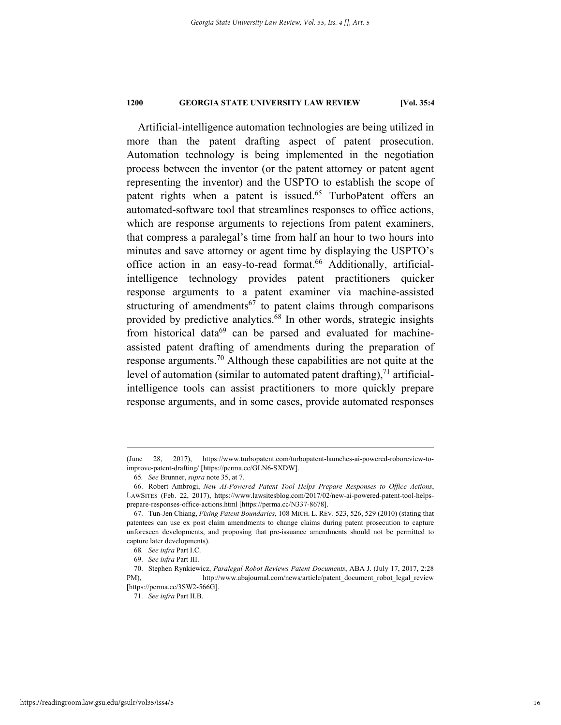Artificial-intelligence automation technologies are being utilized in more than the patent drafting aspect of patent prosecution. Automation technology is being implemented in the negotiation process between the inventor (or the patent attorney or patent agent representing the inventor) and the USPTO to establish the scope of patent rights when a patent is issued.<sup>65</sup> TurboPatent offers an automated-software tool that streamlines responses to office actions, which are response arguments to rejections from patent examiners, that compress a paralegal's time from half an hour to two hours into minutes and save attorney or agent time by displaying the USPTO's office action in an easy-to-read format.<sup>66</sup> Additionally, artificialintelligence technology provides patent practitioners quicker response arguments to a patent examiner via machine-assisted structuring of amendments<sup>67</sup> to patent claims through comparisons provided by predictive analytics.68 In other words, strategic insights from historical data $69$  can be parsed and evaluated for machineassisted patent drafting of amendments during the preparation of response arguments.<sup>70</sup> Although these capabilities are not quite at the level of automation (similar to automated patent drafting),  $^{71}$  artificialintelligence tools can assist practitioners to more quickly prepare response arguments, and in some cases, provide automated responses

 <sup>(</sup>June 28, 2017), https://www.turbopatent.com/turbopatent-launches-ai-powered-roboreview-toimprove-patent-drafting/ [https://perma.cc/GLN6-SXDW].

<sup>65</sup>*. See* Brunner, *supra* note 35, at 7.

 <sup>66.</sup> Robert Ambrogi, *New AI-Powered Patent Tool Helps Prepare Responses to Office Actions*, LAWSITES (Feb. 22, 2017), https://www.lawsitesblog.com/2017/02/new-ai-powered-patent-tool-helpsprepare-responses-office-actions.html [https://perma.cc/N337-8678].

 <sup>67.</sup> Tun-Jen Chiang, *Fixing Patent Boundaries*, 108 MICH. L. REV. 523, 526, 529 (2010) (stating that patentees can use ex post claim amendments to change claims during patent prosecution to capture unforeseen developments, and proposing that pre-issuance amendments should not be permitted to capture later developments).

<sup>68</sup>*. See infra* Part I.C.

 <sup>69.</sup> *See infra* Part III.

 <sup>70.</sup> Stephen Rynkiewicz, *Paralegal Robot Reviews Patent Documents*, ABA J. (July 17, 2017, 2:28 PM), http://www.abajournal.com/news/article/patent\_document\_robot\_legal\_review [https://perma.cc/3SW2-566G].

 <sup>71.</sup> *See infra* Part II.B.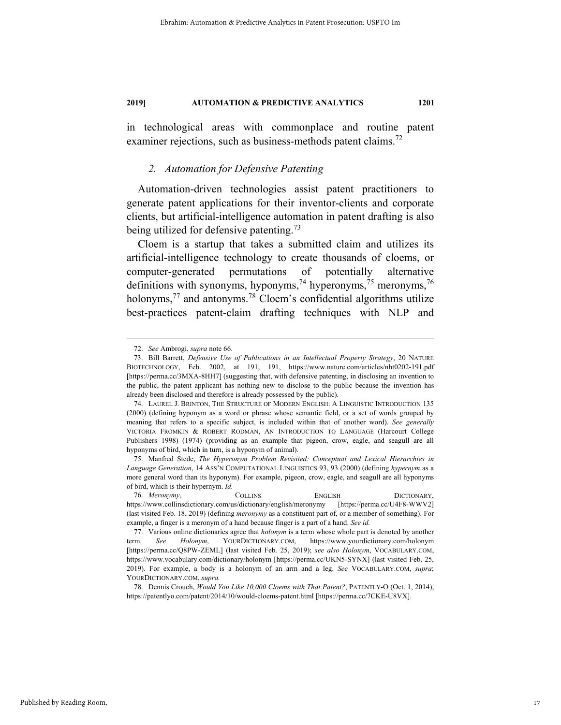in technological areas with commonplace and routine patent examiner rejections, such as business-methods patent claims.<sup>72</sup>

### *2. Automation for Defensive Patenting*

Automation-driven technologies assist patent practitioners to generate patent applications for their inventor-clients and corporate clients, but artificial-intelligence automation in patent drafting is also being utilized for defensive patenting.<sup>73</sup>

Cloem is a startup that takes a submitted claim and utilizes its artificial-intelligence technology to create thousands of cloems, or computer-generated permutations of potentially alternative definitions with synonyms, hyponyms,<sup>74</sup> hyperonyms,<sup>75</sup> meronyms,<sup>76</sup> holonyms,<sup>77</sup> and antonyms.<sup>78</sup> Cloem's confidential algorithms utilize best-practices patent-claim drafting techniques with NLP and

 <sup>72.</sup> *See* Ambrogi, *supra* note 66.

 <sup>73.</sup> Bill Barrett, *Defensive Use of Publications in an Intellectual Property Strategy*, 20 NATURE BIOTECHNOLOGY, Feb. 2002, at 191, 191, https://www.nature.com/articles/nbt0202-191.pdf [https://perma.cc/3MXA-8HH7] (suggesting that, with defensive patenting, in disclosing an invention to the public, the patent applicant has nothing new to disclose to the public because the invention has already been disclosed and therefore is already possessed by the public).

 <sup>74.</sup> LAUREL J. BRINTON, THE STRUCTURE OF MODERN ENGLISH: A LINGUISTIC INTRODUCTION 135 (2000) (defining hyponym as a word or phrase whose semantic field, or a set of words grouped by meaning that refers to a specific subject, is included within that of another word). *See generally* VICTORIA FROMKIN & ROBERT RODMAN, AN INTRODUCTION TO LANGUAGE (Harcourt College Publishers 1998) (1974) (providing as an example that pigeon, crow, eagle, and seagull are all hyponyms of bird, which in turn, is a hyponym of animal).

 <sup>75.</sup> Manfred Stede, *The Hyperonym Problem Revisited: Conceptual and Lexical Hierarchies in Language Generation*, 14 ASS'N COMPUTATIONAL LINGUISTICS 93, 93 (2000) (defining *hypernym* as a more general word than its hyponym). For example, pigeon, crow, eagle, and seagull are all hyponyms of bird, which is their hypernym. *Id.*

 <sup>76.</sup> *Meronymy*, COLLINS ENGLISH DICTIONARY, https://www.collinsdictionary.com/us/dictionary/english/meronymy [https://perma.cc/U4F8-WWV2] (last visited Feb. 18, 2019) (defining *meronymy* as a constituent part of, or a member of something). For example, a finger is a meronym of a hand because finger is a part of a hand. *See id.*

 <sup>77.</sup> Various online dictionaries agree that *holonym* is a term whose whole part is denoted by another term. *See Holonym*, YOURDICTIONARY.COM, https://www.yourdictionary.com/holonym [https://perma.cc/Q8PW-ZEML] (last visited Feb. 25, 2019); *see also Holonym*, VOCABULARY.COM, https://www.vocabulary.com/dictionary/holonym [https://perma.cc/UKN5-SYNX] (last visited Feb. 25, 2019). For example, a body is a holonym of an arm and a leg. *See* VOCABULARY.COM, *supra*; YOURDICTIONARY.COM, *supra.*

 <sup>78.</sup> Dennis Crouch, *Would You Like 10,000 Cloems with That Patent?*, PATENTLY-O (Oct. 1, 2014), https://patentlyo.com/patent/2014/10/would-cloems-patent.html [https://perma.cc/7CKE-U8VX].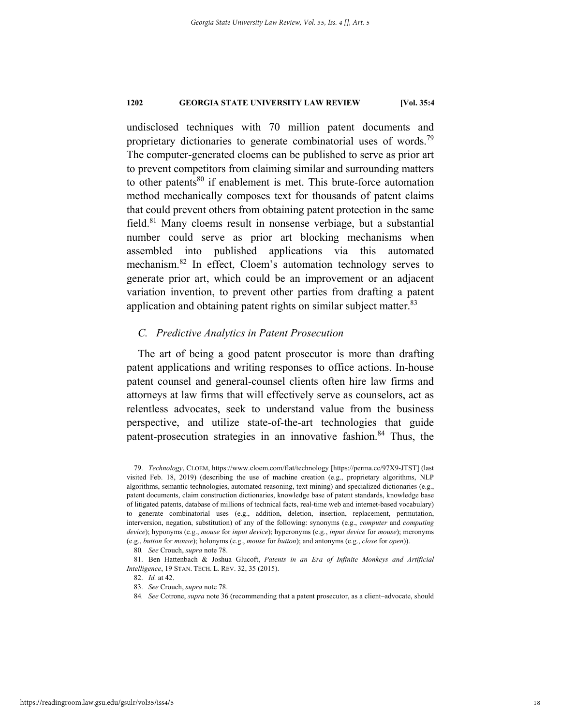undisclosed techniques with 70 million patent documents and proprietary dictionaries to generate combinatorial uses of words.<sup>79</sup> The computer-generated cloems can be published to serve as prior art to prevent competitors from claiming similar and surrounding matters to other patents $80$  if enablement is met. This brute-force automation method mechanically composes text for thousands of patent claims that could prevent others from obtaining patent protection in the same field.81 Many cloems result in nonsense verbiage, but a substantial number could serve as prior art blocking mechanisms when assembled into published applications via this automated mechanism.82 In effect, Cloem's automation technology serves to generate prior art, which could be an improvement or an adjacent variation invention, to prevent other parties from drafting a patent application and obtaining patent rights on similar subject matter.<sup>83</sup>

### *C. Predictive Analytics in Patent Prosecution*

The art of being a good patent prosecutor is more than drafting patent applications and writing responses to office actions. In-house patent counsel and general-counsel clients often hire law firms and attorneys at law firms that will effectively serve as counselors, act as relentless advocates, seek to understand value from the business perspective, and utilize state-of-the-art technologies that guide patent-prosecution strategies in an innovative fashion.<sup>84</sup> Thus, the

 <sup>79.</sup> *Technology*, CLOEM, https://www.cloem.com/flat/technology [https://perma.cc/97X9-JTST] (last visited Feb. 18, 2019) (describing the use of machine creation (e.g., proprietary algorithms, NLP algorithms, semantic technologies, automated reasoning, text mining) and specialized dictionaries (e.g., patent documents, claim construction dictionaries, knowledge base of patent standards, knowledge base of litigated patents, database of millions of technical facts, real-time web and internet-based vocabulary) to generate combinatorial uses (e.g., addition, deletion, insertion, replacement, permutation, interversion, negation, substitution) of any of the following: synonyms (e.g., *computer* and *computing device*); hyponyms (e.g., *mouse* for *input device*); hyperonyms (e.g., *input device* for *mouse*); meronyms (e.g., *button* for *mouse*); holonyms (e.g., *mouse* for *button*); and antonyms (e.g., *close* for *open*)).

<sup>80</sup>*. See* Crouch, *supra* note 78.

 <sup>81.</sup> Ben Hattenbach & Joshua Glucoft, *Patents in an Era of Infinite Monkeys and Artificial Intelligence*, 19 STAN. TECH. L. REV. 32, 35 (2015).

 <sup>82.</sup> *Id.* at 42.

 <sup>83.</sup> *See* Crouch, *supra* note 78.

<sup>84</sup>*. See* Cotrone, *supra* note 36 (recommending that a patent prosecutor, as a client–advocate, should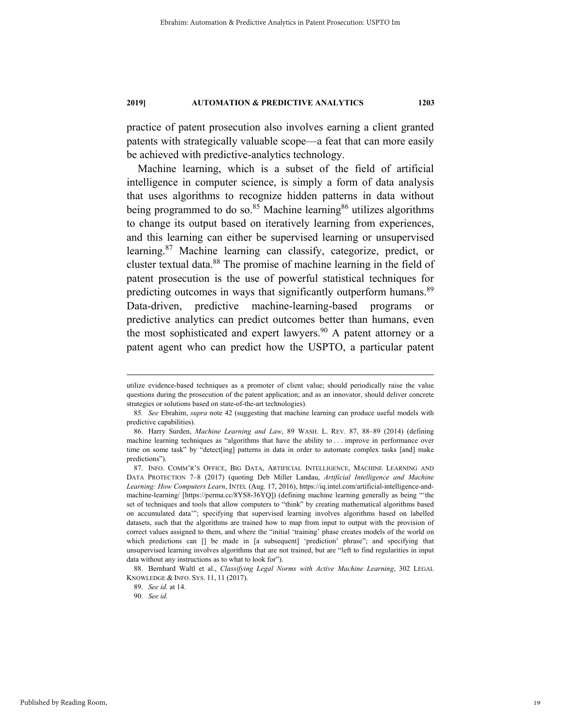practice of patent prosecution also involves earning a client granted patents with strategically valuable scope—a feat that can more easily be achieved with predictive-analytics technology.

Machine learning, which is a subset of the field of artificial intelligence in computer science, is simply a form of data analysis that uses algorithms to recognize hidden patterns in data without being programmed to do so.<sup>85</sup> Machine learning<sup>86</sup> utilizes algorithms to change its output based on iteratively learning from experiences, and this learning can either be supervised learning or unsupervised learning.87 Machine learning can classify, categorize, predict, or cluster textual data.88 The promise of machine learning in the field of patent prosecution is the use of powerful statistical techniques for predicting outcomes in ways that significantly outperform humans.<sup>89</sup> Data-driven, predictive machine-learning-based programs or predictive analytics can predict outcomes better than humans, even the most sophisticated and expert lawyers.<sup>90</sup> A patent attorney or a patent agent who can predict how the USPTO, a particular patent

utilize evidence-based techniques as a promoter of client value; should periodically raise the value questions during the prosecution of the patent application; and as an innovator, should deliver concrete strategies or solutions based on state-of-the-art technologies).

<sup>85</sup>*. See* Ebrahim, *supra* note 42 (suggesting that machine learning can produce useful models with predictive capabilities).

 <sup>86.</sup> Harry Surden, *Machine Learning and Law*, 89 WASH. L. REV. 87, 88–89 (2014) (defining machine learning techniques as "algorithms that have the ability to . . . improve in performance over time on some task" by "detect[ing] patterns in data in order to automate complex tasks [and] make predictions").

 <sup>87.</sup> INFO. COMM'R'S OFFICE, BIG DATA, ARTIFICIAL INTELLIGENCE, MACHINE LEARNING AND DATA PROTECTION 7–8 (2017) (quoting Deb Miller Landau, *Artificial Intelligence and Machine Learning: How Computers Learn*, INTEL (Aug. 17, 2016), https://iq.intel.com/artificial-intelligence-andmachine-learning/ [https://perma.cc/8YS8-36YQ]) (defining machine learning generally as being "'the set of techniques and tools that allow computers to "think" by creating mathematical algorithms based on accumulated data'"; specifying that supervised learning involves algorithms based on labelled datasets, such that the algorithms are trained how to map from input to output with the provision of correct values assigned to them, and where the "initial 'training' phase creates models of the world on which predictions can  $\Box$  be made in [a subsequent] 'prediction' phrase"; and specifying that unsupervised learning involves algorithms that are not trained, but are "left to find regularities in input data without any instructions as to what to look for").

 <sup>88.</sup> Bernhard Waltl et al., *Classifying Legal Norms with Active Machine Learning*, 302 LEGAL KNOWLEDGE & INFO. SYS. 11, 11 (2017).

 <sup>89.</sup> *See id.* at 14.

 <sup>90.</sup> *See id.*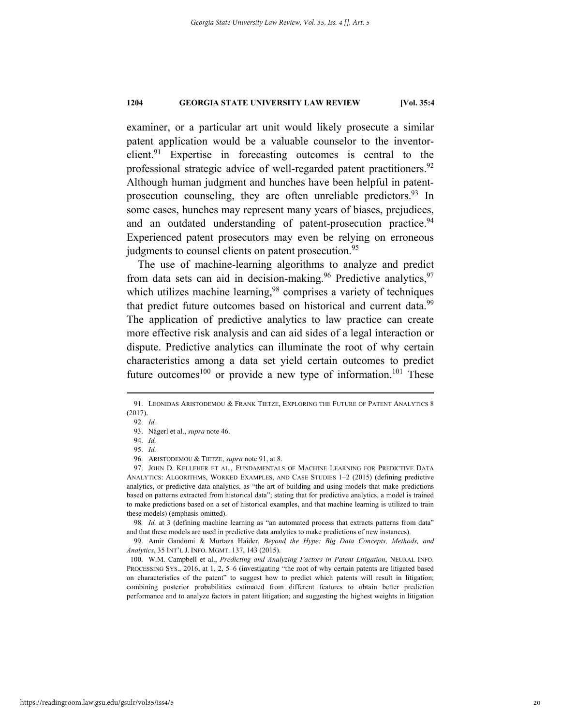examiner, or a particular art unit would likely prosecute a similar patent application would be a valuable counselor to the inventorclient.<sup>91</sup> Expertise in forecasting outcomes is central to the professional strategic advice of well-regarded patent practitioners.<sup>92</sup> Although human judgment and hunches have been helpful in patentprosecution counseling, they are often unreliable predictors.<sup>93</sup> In some cases, hunches may represent many years of biases, prejudices, and an outdated understanding of patent-prosecution practice.<sup>94</sup> Experienced patent prosecutors may even be relying on erroneous judgments to counsel clients on patent prosecution.<sup>95</sup>

The use of machine-learning algorithms to analyze and predict from data sets can aid in decision-making.<sup>96</sup> Predictive analytics,<sup>97</sup> which utilizes machine learning,  $98$  comprises a variety of techniques that predict future outcomes based on historical and current data.<sup>99</sup> The application of predictive analytics to law practice can create more effective risk analysis and can aid sides of a legal interaction or dispute. Predictive analytics can illuminate the root of why certain characteristics among a data set yield certain outcomes to predict future outcomes<sup>100</sup> or provide a new type of information.<sup>101</sup> These

98*. Id.* at 3 (defining machine learning as "an automated process that extracts patterns from data" and that these models are used in predictive data analytics to make predictions of new instances).

 99. Amir Gandomi & Murtaza Haider, *Beyond the Hype: Big Data Concepts, Methods, and Analytics*, 35 INT'L J. INFO. MGMT. 137, 143 (2015).

 100. W.M. Campbell et al., *Predicting and Analyzing Factors in Patent Litigation*, NEURAL INFO. PROCESSING SYS., 2016, at 1, 2, 5–6 (investigating "the root of why certain patents are litigated based on characteristics of the patent" to suggest how to predict which patents will result in litigation; combining posterior probabilities estimated from different features to obtain better prediction performance and to analyze factors in patent litigation; and suggesting the highest weights in litigation

 <sup>91.</sup> LEONIDAS ARISTODEMOU & FRANK TIETZE, EXPLORING THE FUTURE OF PATENT ANALYTICS 8 (2017).

 <sup>92.</sup> *Id.* 

 <sup>93.</sup> Nägerl et al., *supra* note 46.

 <sup>94.</sup> *Id.* 

 <sup>95.</sup> *Id.*

 <sup>96.</sup> ARISTODEMOU & TIETZE, *supra* note 91, at 8.

 <sup>97.</sup> JOHN D. KELLEHER ET AL., FUNDAMENTALS OF MACHINE LEARNING FOR PREDICTIVE DATA ANALYTICS: ALGORITHMS, WORKED EXAMPLES, AND CASE STUDIES 1–2 (2015) (defining predictive analytics, or predictive data analytics, as "the art of building and using models that make predictions based on patterns extracted from historical data"; stating that for predictive analytics, a model is trained to make predictions based on a set of historical examples, and that machine learning is utilized to train these models) (emphasis omitted).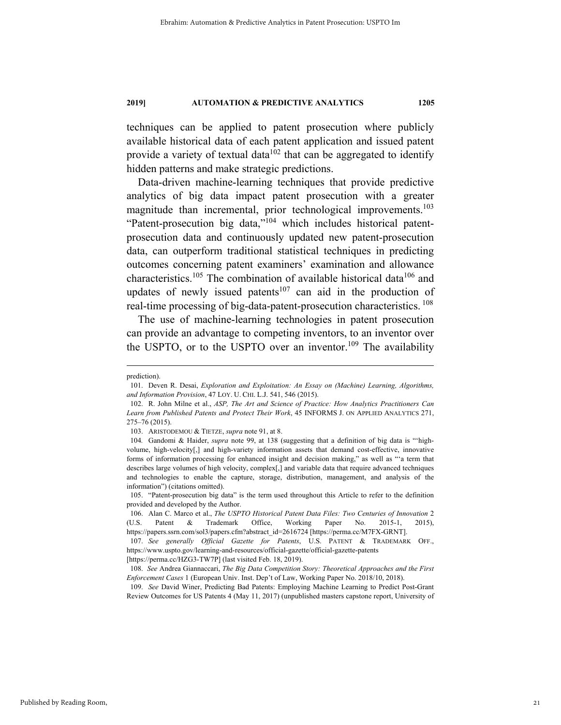techniques can be applied to patent prosecution where publicly available historical data of each patent application and issued patent provide a variety of textual data<sup>102</sup> that can be aggregated to identify hidden patterns and make strategic predictions.

Data-driven machine-learning techniques that provide predictive analytics of big data impact patent prosecution with a greater magnitude than incremental, prior technological improvements.<sup>103</sup> "Patent-prosecution big data,"104 which includes historical patentprosecution data and continuously updated new patent-prosecution data, can outperform traditional statistical techniques in predicting outcomes concerning patent examiners' examination and allowance characteristics.<sup>105</sup> The combination of available historical data<sup>106</sup> and updates of newly issued patents<sup>107</sup> can aid in the production of real-time processing of big-data-patent-prosecution characteristics. 108

The use of machine-learning technologies in patent prosecution can provide an advantage to competing inventors, to an inventor over the USPTO, or to the USPTO over an inventor.<sup>109</sup> The availability

 109. *See* David Winer, Predicting Bad Patents: Employing Machine Learning to Predict Post-Grant Review Outcomes for US Patents 4 (May 11, 2017) (unpublished masters capstone report, University of

prediction).

 <sup>101.</sup> Deven R. Desai, *Exploration and Exploitation: An Essay on (Machine) Learning, Algorithms, and Information Provision*, 47 LOY. U. CHI. L.J. 541, 546 (2015).

 <sup>102.</sup> R. John Milne et al., *ASP, The Art and Science of Practice: How Analytics Practitioners Can Learn from Published Patents and Protect Their Work*, 45 INFORMS J. ON APPLIED ANALYTICS 271, 275–76 (2015).

 <sup>103.</sup> ARISTODEMOU & TIETZE, *supra* note 91, at 8.

<sup>104</sup>*.* Gandomi & Haider, *supra* note 99, at 138 (suggesting that a definition of big data is "'highvolume, high-velocity[,] and high-variety information assets that demand cost-effective, innovative forms of information processing for enhanced insight and decision making," as well as "'a term that describes large volumes of high velocity, complex[,] and variable data that require advanced techniques and technologies to enable the capture, storage, distribution, management, and analysis of the information") (citations omitted).

 <sup>105. &</sup>quot;Patent-prosecution big data" is the term used throughout this Article to refer to the definition provided and developed by the Author.

 <sup>106.</sup> Alan C. Marco et al., *The USPTO Historical Patent Data Files: Two Centuries of Innovation* 2 (U.S. Patent & Trademark Office, Working Paper No. 2015-1, 2015), https://papers.ssrn.com/sol3/papers.cfm?abstract\_id=2616724 [https://perma.cc/M7FX-GRNT].

 <sup>107.</sup> *See generally Official Gazette for Patents*, U.S. PATENT & TRADEMARK OFF., https://www.uspto.gov/learning-and-resources/official-gazette/official-gazette-patents [https://perma.cc/HZG3-TW7P] (last visited Feb. 18, 2019).

 <sup>108.</sup> *See* Andrea Giannaccari, *The Big Data Competition Story: Theoretical Approaches and the First Enforcement Cases* 1 (European Univ. Inst. Dep't of Law, Working Paper No. 2018/10, 2018).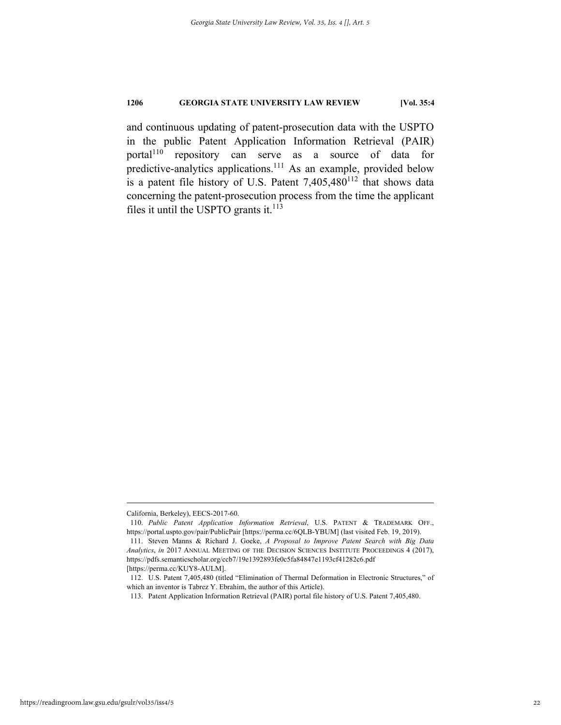and continuous updating of patent-prosecution data with the USPTO in the public Patent Application Information Retrieval (PAIR) portal<sup>110</sup> repository can serve as a source of data for predictive-analytics applications.<sup>111</sup> As an example, provided below is a patent file history of U.S. Patent  $7,405,480^{112}$  that shows data concerning the patent-prosecution process from the time the applicant files it until the USPTO grants it. $^{113}$ 

California, Berkeley), EECS-2017-60.

 <sup>110.</sup> *Public Patent Application Information Retrieval*, U.S. PATENT & TRADEMARK OFF., https://portal.uspto.gov/pair/PublicPair [https://perma.cc/6QLB-YBUM] (last visited Feb. 19, 2019).

 <sup>111.</sup> Steven Manns & Richard J. Goeke, *A Proposal to Improve Patent Search with Big Data Analytics*, *in* 2017 ANNUAL MEETING OF THE DECISION SCIENCES INSTITUTE PROCEEDINGS 4 (2017), https://pdfs.semanticscholar.org/ccb7/19e1392893fe0c5fa84847e1193cf41282c6.pdf [https://perma.cc/KUY8-AULM].

 <sup>112.</sup> U.S. Patent 7,405,480 (titled "Elimination of Thermal Deformation in Electronic Structures," of which an inventor is Tabrez Y. Ebrahim, the author of this Article).

 <sup>113.</sup> Patent Application Information Retrieval (PAIR) portal file history of U.S. Patent 7,405,480.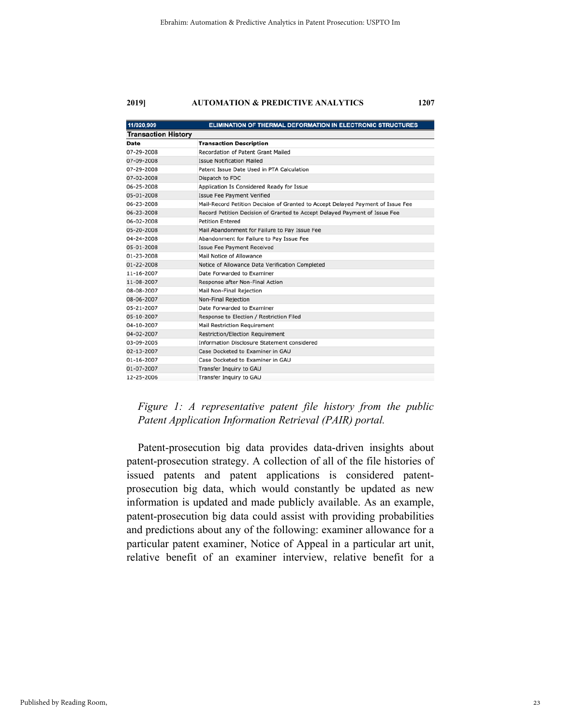| 11/020,909                 | ELIMINATION OF THERMAL DEFORMATION IN ELECTRONIC STRUCTURES                     |  |  |
|----------------------------|---------------------------------------------------------------------------------|--|--|
| <b>Transaction History</b> |                                                                                 |  |  |
| Date                       | <b>Transaction Description</b>                                                  |  |  |
| 07-29-2008                 | Recordation of Patent Grant Mailed                                              |  |  |
| 07-09-2008                 | <b>Issue Notification Mailed</b>                                                |  |  |
| 07-29-2008                 | Patent Issue Date Used in PTA Calculation                                       |  |  |
| 07-02-2008                 | Dispatch to FDC                                                                 |  |  |
| 06-25-2008                 | Application Is Considered Ready for Issue                                       |  |  |
| 05-01-2008                 | <b>Issue Fee Payment Verified</b>                                               |  |  |
| 06-23-2008                 | Mail-Record Petition Decision of Granted to Accept Delayed Payment of Issue Fee |  |  |
| 06-23-2008                 | Record Petition Decision of Granted to Accept Delayed Payment of Issue Fee      |  |  |
| 06-02-2008                 | <b>Petition Entered</b>                                                         |  |  |
| 05-20-2008                 | Mail Abandonment for Failure to Pay Issue Fee                                   |  |  |
| 04-24-2008                 | Abandonment for Failure to Pay Issue Fee                                        |  |  |
| 05-01-2008                 | <b>Issue Fee Payment Received</b>                                               |  |  |
| 01-23-2008                 | Mail Notice of Allowance                                                        |  |  |
| 01-22-2008                 | Notice of Allowance Data Verification Completed                                 |  |  |
| 11-16-2007                 | Date Forwarded to Examiner                                                      |  |  |
| 11-08-2007                 | Response after Non-Final Action                                                 |  |  |
| 08-08-2007                 | Mail Non-Final Rejection                                                        |  |  |
| 08-06-2007                 | Non-Final Rejection                                                             |  |  |
| 05-21-2007                 | Date Forwarded to Examiner                                                      |  |  |
| 05-10-2007                 | Response to Election / Restriction Filed                                        |  |  |
| 04-10-2007                 | <b>Mail Restriction Requirement</b>                                             |  |  |
| 04-02-2007                 | <b>Restriction/Election Requirement</b>                                         |  |  |
| 03-09-2005                 | Information Disclosure Statement considered                                     |  |  |
| 02-13-2007                 | Case Docketed to Examiner in GAU                                                |  |  |
| 01-16-2007                 | Case Docketed to Examiner in GAU                                                |  |  |
| 01-07-2007                 | Transfer Inquiry to GAU                                                         |  |  |
| 12-25-2006                 | Transfer Inquiry to GAU                                                         |  |  |

*Figure 1: A representative patent file history from the public Patent Application Information Retrieval (PAIR) portal.* 

Patent-prosecution big data provides data-driven insights about patent-prosecution strategy. A collection of all of the file histories of issued patents and patent applications is considered patentprosecution big data, which would constantly be updated as new information is updated and made publicly available. As an example, patent-prosecution big data could assist with providing probabilities and predictions about any of the following: examiner allowance for a particular patent examiner, Notice of Appeal in a particular art unit, relative benefit of an examiner interview, relative benefit for a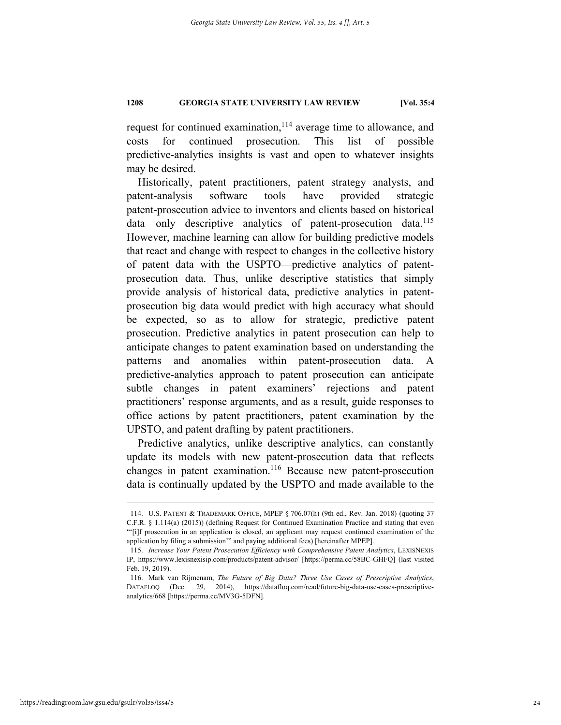request for continued examination,<sup>114</sup> average time to allowance, and costs for continued prosecution. This list of possible predictive-analytics insights is vast and open to whatever insights may be desired.

Historically, patent practitioners, patent strategy analysts, and patent-analysis software tools have provided strategic patent-prosecution advice to inventors and clients based on historical data—only descriptive analytics of patent-prosecution data.<sup>115</sup> However, machine learning can allow for building predictive models that react and change with respect to changes in the collective history of patent data with the USPTO—predictive analytics of patentprosecution data. Thus, unlike descriptive statistics that simply provide analysis of historical data, predictive analytics in patentprosecution big data would predict with high accuracy what should be expected, so as to allow for strategic, predictive patent prosecution. Predictive analytics in patent prosecution can help to anticipate changes to patent examination based on understanding the patterns and anomalies within patent-prosecution data. A predictive-analytics approach to patent prosecution can anticipate subtle changes in patent examiners' rejections and patent practitioners' response arguments, and as a result, guide responses to office actions by patent practitioners, patent examination by the UPSTO, and patent drafting by patent practitioners.

Predictive analytics, unlike descriptive analytics, can constantly update its models with new patent-prosecution data that reflects changes in patent examination.<sup>116</sup> Because new patent-prosecution data is continually updated by the USPTO and made available to the

 <sup>114.</sup> U.S. PATENT & TRADEMARK OFFICE, MPEP § 706.07(h) (9th ed., Rev. Jan. 2018) (quoting 37 C.F.R. § 1.114(a) (2015)) (defining Request for Continued Examination Practice and stating that even "'[i]f prosecution in an application is closed, an applicant may request continued examination of the application by filing a submission'" and paying additional fees) [hereinafter MPEP].

 <sup>115.</sup> *Increase Your Patent Prosecution Efficiency with Comprehensive Patent Analytics*, LEXISNEXIS IP, https://www.lexisnexisip.com/products/patent-advisor/ [https://perma.cc/58BC-GHFQ] (last visited Feb. 19, 2019).

 <sup>116.</sup> Mark van Rijmenam, *The Future of Big Data? Three Use Cases of Prescriptive Analytics*, DATAFLOQ (Dec. 29, 2014), https://datafloq.com/read/future-big-data-use-cases-prescriptiveanalytics/668 [https://perma.cc/MV3G-5DFN].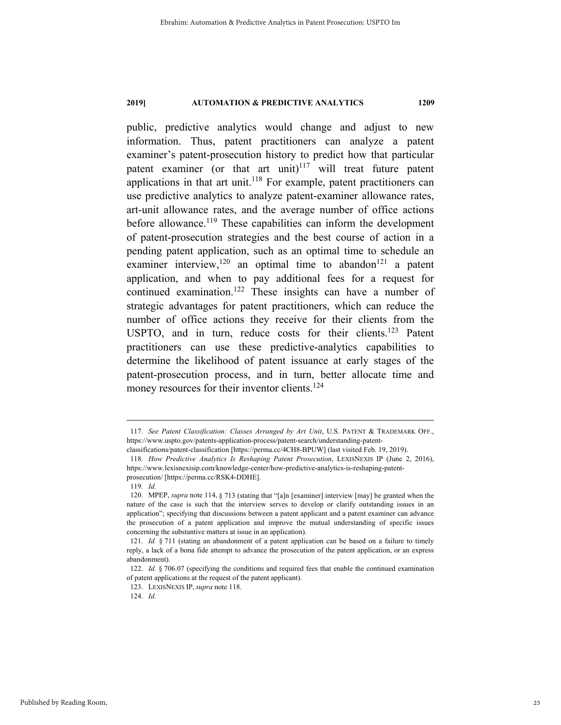public, predictive analytics would change and adjust to new information. Thus, patent practitioners can analyze a patent examiner's patent-prosecution history to predict how that particular patent examiner (or that art unit)<sup>117</sup> will treat future patent applications in that art unit.<sup>118</sup> For example, patent practitioners can use predictive analytics to analyze patent-examiner allowance rates, art-unit allowance rates, and the average number of office actions before allowance.<sup>119</sup> These capabilities can inform the development of patent-prosecution strategies and the best course of action in a pending patent application, such as an optimal time to schedule an examiner interview,<sup>120</sup> an optimal time to abandon<sup>121</sup> a patent application, and when to pay additional fees for a request for continued examination.122 These insights can have a number of strategic advantages for patent practitioners, which can reduce the number of office actions they receive for their clients from the USPTO, and in turn, reduce costs for their clients.<sup>123</sup> Patent practitioners can use these predictive-analytics capabilities to determine the likelihood of patent issuance at early stages of the patent-prosecution process, and in turn, better allocate time and money resources for their inventor clients.<sup>124</sup>

<sup>117.</sup> See Patent Classification: Classes Arranged by Art Unit, U.S. PATENT & TRADEMARK OFF., https://www.uspto.gov/patents-application-process/patent-search/understanding-patent-

classifications/patent-classification [https://perma.cc/4CH8-BPUW] (last visited Feb. 19, 2019).

 <sup>118.</sup> *How Predictive Analytics Is Reshaping Patent Prosecution*, LEXISNEXIS IP (June 2, 2016), https://www.lexisnexisip.com/knowledge-center/how-predictive-analytics-is-reshaping-patentprosecution/ [https://perma.cc/RSK4-DDHE].

<sup>119</sup>*. Id.*

 <sup>120.</sup> MPEP, *supra* note 114, § 713 (stating that "[a]n [examiner] interview [may] be granted when the nature of the case is such that the interview serves to develop or clarify outstanding issues in an application"; specifying that discussions between a patent applicant and a patent examiner can advance the prosecution of a patent application and improve the mutual understanding of specific issues concerning the substantive matters at issue in an application).

 <sup>121.</sup> *Id.* § 711 (stating an abandonment of a patent application can be based on a failure to timely reply, a lack of a bona fide attempt to advance the prosecution of the patent application, or an express abandonment).

 <sup>122.</sup> *Id.* § 706.07 (specifying the conditions and required fees that enable the continued examination of patent applications at the request of the patent applicant).

 <sup>123.</sup> LEXISNEXIS IP, *supra* note 118.

 <sup>124.</sup> *Id.*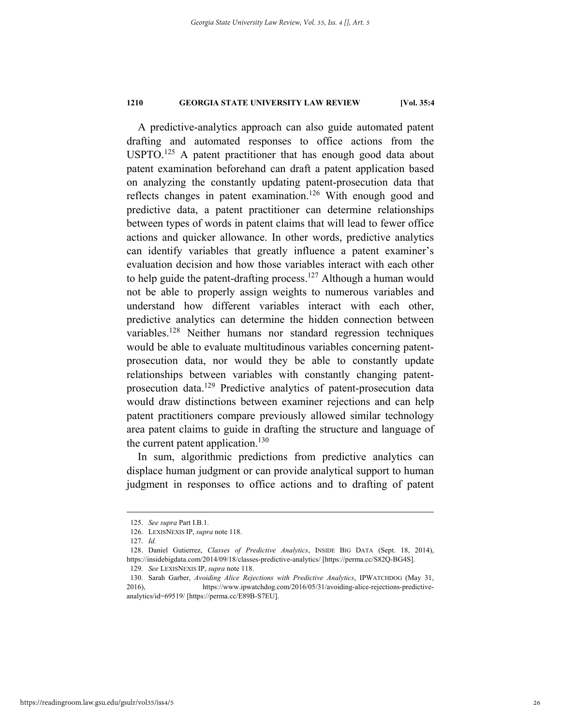A predictive-analytics approach can also guide automated patent drafting and automated responses to office actions from the USPTO.<sup>125</sup> A patent practitioner that has enough good data about patent examination beforehand can draft a patent application based on analyzing the constantly updating patent-prosecution data that reflects changes in patent examination.<sup>126</sup> With enough good and predictive data, a patent practitioner can determine relationships between types of words in patent claims that will lead to fewer office actions and quicker allowance. In other words, predictive analytics can identify variables that greatly influence a patent examiner's evaluation decision and how those variables interact with each other to help guide the patent-drafting process.<sup>127</sup> Although a human would not be able to properly assign weights to numerous variables and understand how different variables interact with each other, predictive analytics can determine the hidden connection between variables.<sup>128</sup> Neither humans nor standard regression techniques would be able to evaluate multitudinous variables concerning patentprosecution data, nor would they be able to constantly update relationships between variables with constantly changing patentprosecution data.<sup>129</sup> Predictive analytics of patent-prosecution data would draw distinctions between examiner rejections and can help patent practitioners compare previously allowed similar technology area patent claims to guide in drafting the structure and language of the current patent application.<sup>130</sup>

In sum, algorithmic predictions from predictive analytics can displace human judgment or can provide analytical support to human judgment in responses to office actions and to drafting of patent

 <sup>125.</sup> *See supra* Part I.B.1.

 <sup>126.</sup> LEXISNEXIS IP, *supra* note 118.

 <sup>127.</sup> *Id.* 

 <sup>128.</sup> Daniel Gutierrez, *Classes of Predictive Analytics*, INSIDE BIG DATA (Sept. 18, 2014), https://insidebigdata.com/2014/09/18/classes-predictive-analytics/ [https://perma.cc/S82Q-BG4S].

 <sup>129.</sup> *See* LEXISNEXIS IP, *supra* note 118.

 <sup>130.</sup> Sarah Garber, *Avoiding Alice Rejections with Predictive Analytics*, IPWATCHDOG (May 31, 2016), https://www.ipwatchdog.com/2016/05/31/avoiding-alice-rejections-predictiveanalytics/id=69519/ [https://perma.cc/E89B-S7EU].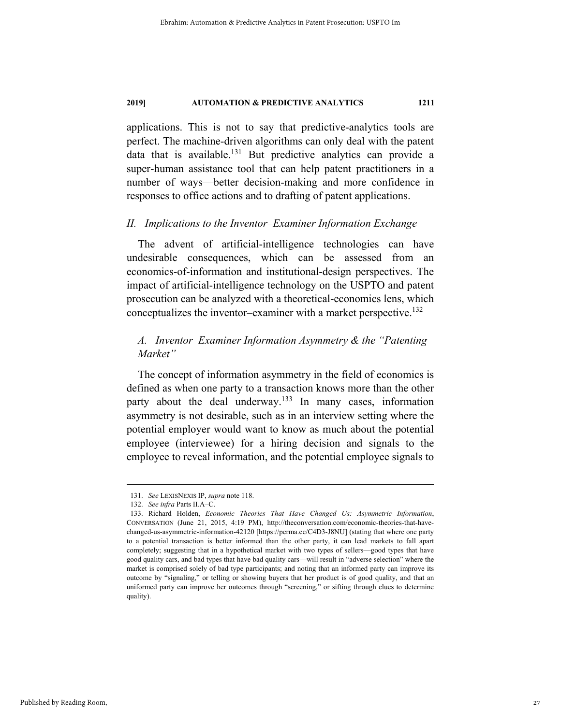applications. This is not to say that predictive-analytics tools are perfect. The machine-driven algorithms can only deal with the patent data that is available.<sup>131</sup> But predictive analytics can provide a super-human assistance tool that can help patent practitioners in a number of ways—better decision-making and more confidence in responses to office actions and to drafting of patent applications.

### *II. Implications to the Inventor–Examiner Information Exchange*

The advent of artificial-intelligence technologies can have undesirable consequences, which can be assessed from an economics-of-information and institutional-design perspectives. The impact of artificial-intelligence technology on the USPTO and patent prosecution can be analyzed with a theoretical-economics lens, which conceptualizes the inventor–examiner with a market perspective.<sup>132</sup>

# *A. Inventor–Examiner Information Asymmetry & the "Patenting Market"*

The concept of information asymmetry in the field of economics is defined as when one party to a transaction knows more than the other party about the deal underway.<sup>133</sup> In many cases, information asymmetry is not desirable, such as in an interview setting where the potential employer would want to know as much about the potential employee (interviewee) for a hiring decision and signals to the employee to reveal information, and the potential employee signals to

 <sup>131.</sup> *See* LEXISNEXIS IP, *supra* note 118.

 <sup>132.</sup> *See infra* Parts II.A–C.

 <sup>133.</sup> Richard Holden, *Economic Theories That Have Changed Us: Asymmetric Information*, CONVERSATION (June 21, 2015, 4:19 PM), http://theconversation.com/economic-theories-that-havechanged-us-asymmetric-information-42120 [https://perma.cc/C4D3-J8NU] (stating that where one party to a potential transaction is better informed than the other party, it can lead markets to fall apart completely; suggesting that in a hypothetical market with two types of sellers—good types that have good quality cars, and bad types that have bad quality cars—will result in "adverse selection" where the market is comprised solely of bad type participants; and noting that an informed party can improve its outcome by "signaling," or telling or showing buyers that her product is of good quality, and that an uniformed party can improve her outcomes through "screening," or sifting through clues to determine quality).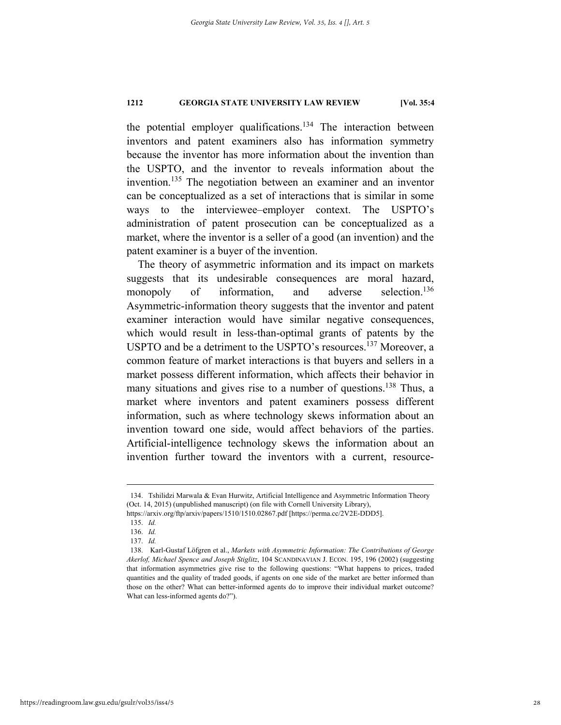the potential employer qualifications.<sup>134</sup> The interaction between inventors and patent examiners also has information symmetry because the inventor has more information about the invention than the USPTO, and the inventor to reveals information about the invention.135 The negotiation between an examiner and an inventor can be conceptualized as a set of interactions that is similar in some ways to the interviewee–employer context. The USPTO's administration of patent prosecution can be conceptualized as a market, where the inventor is a seller of a good (an invention) and the patent examiner is a buyer of the invention.

The theory of asymmetric information and its impact on markets suggests that its undesirable consequences are moral hazard, monopoly of information, and adverse selection.<sup>136</sup> Asymmetric-information theory suggests that the inventor and patent examiner interaction would have similar negative consequences, which would result in less-than-optimal grants of patents by the USPTO and be a detriment to the USPTO's resources.<sup>137</sup> Moreover, a common feature of market interactions is that buyers and sellers in a market possess different information, which affects their behavior in many situations and gives rise to a number of questions.<sup>138</sup> Thus, a market where inventors and patent examiners possess different information, such as where technology skews information about an invention toward one side, would affect behaviors of the parties. Artificial-intelligence technology skews the information about an invention further toward the inventors with a current, resource-

 <sup>134.</sup> Tshilidzi Marwala & Evan Hurwitz, Artificial Intelligence and Asymmetric Information Theory (Oct. 14, 2015) (unpublished manuscript) (on file with Cornell University Library),

https://arxiv.org/ftp/arxiv/papers/1510/1510.02867.pdf [https://perma.cc/2V2E-DDD5].

 <sup>135.</sup> *Id.*

 <sup>136.</sup> *Id.* 

 <sup>137.</sup> *Id.*

 <sup>138.</sup> Karl-Gustaf Löfgren et al., *Markets with Asymmetric Information: The Contributions of George Akerlof, Michael Spence and Joseph Stiglitz*, 104 SCANDINAVIAN J. ECON. 195, 196 (2002) (suggesting that information asymmetries give rise to the following questions: "What happens to prices, traded quantities and the quality of traded goods, if agents on one side of the market are better informed than those on the other? What can better-informed agents do to improve their individual market outcome? What can less-informed agents do?").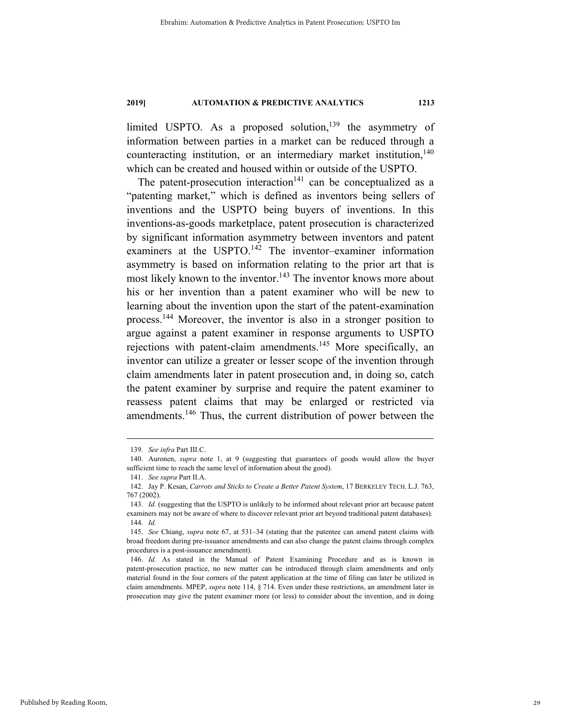limited USPTO. As a proposed solution,<sup>139</sup> the asymmetry of information between parties in a market can be reduced through a counteracting institution, or an intermediary market institution,  $140$ which can be created and housed within or outside of the USPTO.

The patent-prosecution interaction<sup>141</sup> can be conceptualized as a "patenting market," which is defined as inventors being sellers of inventions and the USPTO being buyers of inventions. In this inventions-as-goods marketplace, patent prosecution is characterized by significant information asymmetry between inventors and patent examiners at the USPTO.<sup>142</sup> The inventor–examiner information asymmetry is based on information relating to the prior art that is most likely known to the inventor.<sup>143</sup> The inventor knows more about his or her invention than a patent examiner who will be new to learning about the invention upon the start of the patent-examination process.144 Moreover, the inventor is also in a stronger position to argue against a patent examiner in response arguments to USPTO rejections with patent-claim amendments.<sup>145</sup> More specifically, an inventor can utilize a greater or lesser scope of the invention through claim amendments later in patent prosecution and, in doing so, catch the patent examiner by surprise and require the patent examiner to reassess patent claims that may be enlarged or restricted via amendments.<sup>146</sup> Thus, the current distribution of power between the

 <sup>139.</sup> *See infra* Part III.C.

 <sup>140.</sup> Auronen, *supra* note 1, at 9 (suggesting that guarantees of goods would allow the buyer sufficient time to reach the same level of information about the good).

 <sup>141.</sup> *See supra* Part II.A.

 <sup>142.</sup> Jay P. Kesan, *Carrots and Sticks to Create a Better Patent System*, 17 BERKELEY TECH. L.J. 763, 767 (2002).

 <sup>143.</sup> *Id.* (suggesting that the USPTO is unlikely to be informed about relevant prior art because patent examiners may not be aware of where to discover relevant prior art beyond traditional patent databases). 144. *Id.*

 <sup>145.</sup> *See* Chiang, *supra* note 67, at 531–34 (stating that the patentee can amend patent claims with broad freedom during pre-issuance amendments and can also change the patent claims through complex procedures is a post-issuance amendment).

<sup>146.</sup> *Id.* As stated in the Manual of Patent Examining Procedure and as is known in patent-prosecution practice, no new matter can be introduced through claim amendments and only material found in the four corners of the patent application at the time of filing can later be utilized in claim amendments. MPEP, *supra* note 114, § 714. Even under these restrictions, an amendment later in prosecution may give the patent examiner more (or less) to consider about the invention, and in doing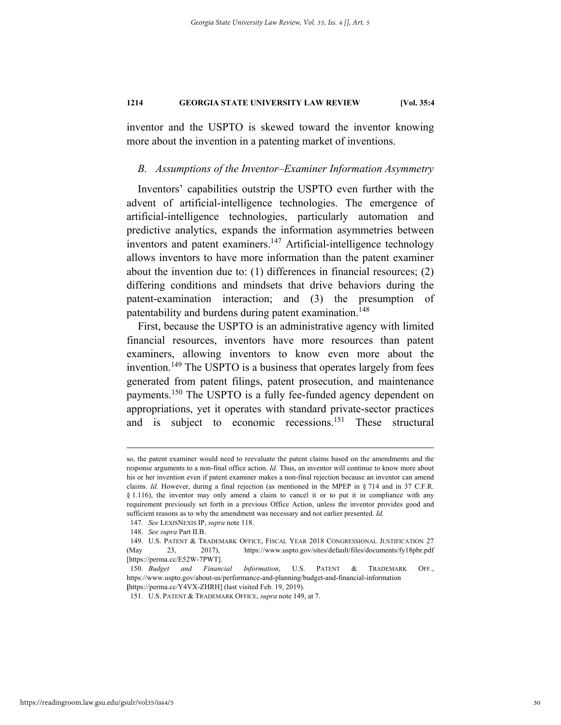inventor and the USPTO is skewed toward the inventor knowing more about the invention in a patenting market of inventions.

#### *B. Assumptions of the Inventor–Examiner Information Asymmetry*

Inventors' capabilities outstrip the USPTO even further with the advent of artificial-intelligence technologies. The emergence of artificial-intelligence technologies, particularly automation and predictive analytics, expands the information asymmetries between inventors and patent examiners.<sup>147</sup> Artificial-intelligence technology allows inventors to have more information than the patent examiner about the invention due to: (1) differences in financial resources; (2) differing conditions and mindsets that drive behaviors during the patent-examination interaction; and (3) the presumption of patentability and burdens during patent examination.<sup>148</sup>

First, because the USPTO is an administrative agency with limited financial resources, inventors have more resources than patent examiners, allowing inventors to know even more about the invention.<sup>149</sup> The USPTO is a business that operates largely from fees generated from patent filings, patent prosecution, and maintenance payments.<sup>150</sup> The USPTO is a fully fee-funded agency dependent on appropriations, yet it operates with standard private-sector practices and is subject to economic recessions.<sup>151</sup> These structural

so, the patent examiner would need to reevaluate the patent claims based on the amendments and the response arguments to a non-final office action. *Id.* Thus, an inventor will continue to know more about his or her invention even if patent examiner makes a non-final rejection because an inventor can amend claims. *Id.* However, during a final rejection (as mentioned in the MPEP in § 714 and in 37 C.F.R. § 1.116), the inventor may only amend a claim to cancel it or to put it in compliance with any requirement previously set forth in a previous Office Action, unless the inventor provides good and sufficient reasons as to why the amendment was necessary and not earlier presented. *Id.*

 <sup>147.</sup> *See* LEXISNEXIS IP, *supra* note 118.

 <sup>148.</sup> *See supra* Part II.B.

 <sup>149.</sup> U.S. PATENT & TRADEMARK OFFICE, FISCAL YEAR 2018 CONGRESSIONAL JUSTIFICATION 27 (May 23, 2017), https://www.uspto.gov/sites/default/files/documents/fy18pbr.pdf [https://perma.cc/E52W-7PWT].

 <sup>150.</sup> *Budget and Financial Information*, U.S. PATENT & TRADEMARK OFF., https://www.uspto.gov/about-us/performance-and-planning/budget-and-financial-information **[**https://perma.cc/Y4VX-ZHRH] (last visited Feb. 19, 2019).

 <sup>151.</sup> U.S. PATENT & TRADEMARK OFFICE, *supra* note 149, at 7.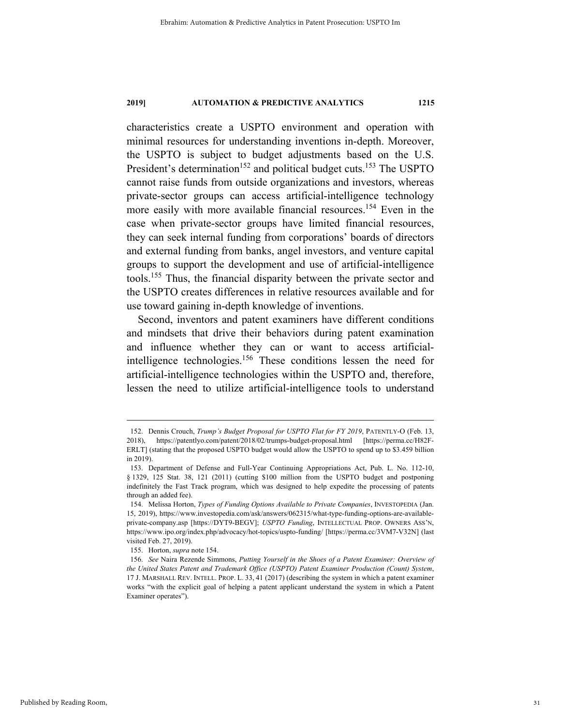characteristics create a USPTO environment and operation with minimal resources for understanding inventions in-depth. Moreover, the USPTO is subject to budget adjustments based on the U.S. President's determination<sup>152</sup> and political budget cuts.<sup>153</sup> The USPTO cannot raise funds from outside organizations and investors, whereas private-sector groups can access artificial-intelligence technology more easily with more available financial resources.<sup>154</sup> Even in the case when private-sector groups have limited financial resources, they can seek internal funding from corporations' boards of directors and external funding from banks, angel investors, and venture capital groups to support the development and use of artificial-intelligence tools.155 Thus, the financial disparity between the private sector and the USPTO creates differences in relative resources available and for use toward gaining in-depth knowledge of inventions.

Second, inventors and patent examiners have different conditions and mindsets that drive their behaviors during patent examination and influence whether they can or want to access artificialintelligence technologies.156 These conditions lessen the need for artificial-intelligence technologies within the USPTO and, therefore, lessen the need to utilize artificial-intelligence tools to understand

 <sup>152.</sup> Dennis Crouch, *Trump's Budget Proposal for USPTO Flat for FY 2019*, PATENTLY-O (Feb. 13, 2018), https://patentlyo.com/patent/2018/02/trumps-budget-proposal.html [https://perma.cc/H82F-ERLT] (stating that the proposed USPTO budget would allow the USPTO to spend up to \$3.459 billion in 2019).

 <sup>153.</sup> Department of Defense and Full-Year Continuing Appropriations Act, Pub. L. No. 112-10, § 1329, 125 Stat. 38, 121 (2011) (cutting \$100 million from the USPTO budget and postponing indefinitely the Fast Track program, which was designed to help expedite the processing of patents through an added fee).

 <sup>154.</sup> Melissa Horton, *Types of Funding Options Available to Private Companies*, INVESTOPEDIA (Jan. 15, 2019), https://www.investopedia.com/ask/answers/062315/what-type-funding-options-are-availableprivate-company.asp [https://DYT9-BEGV]; *USPTO Funding*, INTELLECTUAL PROP. OWNERS ASS'N, https://www.ipo.org/index.php/advocacy/hot-topics/uspto-funding/ [https://perma.cc/3VM7-V32N] (last visited Feb. 27, 2019).

 <sup>155.</sup> Horton, *supra* note 154.

 <sup>156.</sup> *See* Naira Rezende Simmons, *Putting Yourself in the Shoes of a Patent Examiner: Overview of the United States Patent and Trademark Office (USPTO) Patent Examiner Production (Count) System*, 17 J. MARSHALL REV. INTELL. PROP. L. 33, 41 (2017) (describing the system in which a patent examiner works "with the explicit goal of helping a patent applicant understand the system in which a Patent Examiner operates").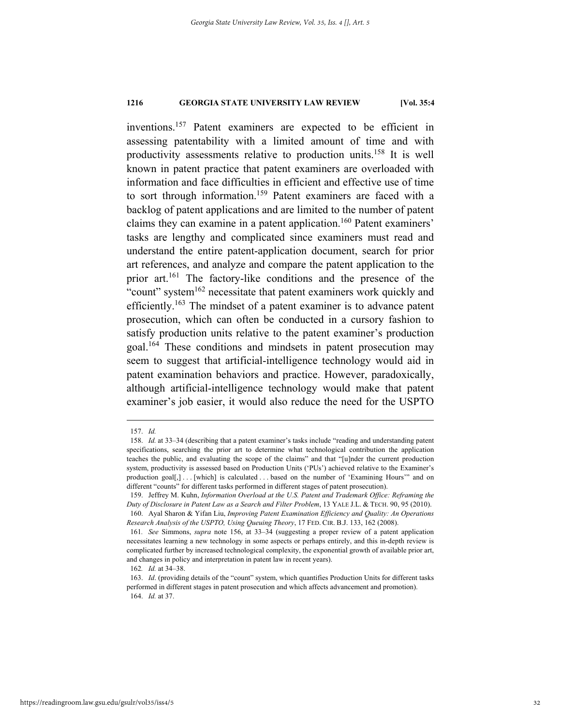inventions.157 Patent examiners are expected to be efficient in assessing patentability with a limited amount of time and with productivity assessments relative to production units.158 It is well known in patent practice that patent examiners are overloaded with information and face difficulties in efficient and effective use of time to sort through information.<sup>159</sup> Patent examiners are faced with a backlog of patent applications and are limited to the number of patent claims they can examine in a patent application.160 Patent examiners' tasks are lengthy and complicated since examiners must read and understand the entire patent-application document, search for prior art references, and analyze and compare the patent application to the prior art.161 The factory-like conditions and the presence of the "count" system $162$  necessitate that patent examiners work quickly and efficiently.<sup>163</sup> The mindset of a patent examiner is to advance patent prosecution, which can often be conducted in a cursory fashion to satisfy production units relative to the patent examiner's production goal.164 These conditions and mindsets in patent prosecution may seem to suggest that artificial-intelligence technology would aid in patent examination behaviors and practice. However, paradoxically, although artificial-intelligence technology would make that patent examiner's job easier, it would also reduce the need for the USPTO

 <sup>157.</sup> *Id.*

 <sup>158.</sup> *Id.* at 33–34 (describing that a patent examiner's tasks include "reading and understanding patent specifications, searching the prior art to determine what technological contribution the application teaches the public, and evaluating the scope of the claims" and that "[u]nder the current production system, productivity is assessed based on Production Units ('PUs') achieved relative to the Examiner's production goal[,] . . . [which] is calculated . . . based on the number of 'Examining Hours'" and on different "counts" for different tasks performed in different stages of patent prosecution).

 <sup>159.</sup> Jeffrey M. Kuhn, *Information Overload at the U.S. Patent and Trademark Office: Reframing the Duty of Disclosure in Patent Law as a Search and Filter Problem*, 13 YALE J.L. & TECH. 90, 95 (2010). 160. Ayal Sharon & Yifan Liu, *Improving Patent Examination Efficiency and Quality: An Operations* 

*Research Analysis of the USPTO, Using Queuing Theory*, 17 FED. CIR. B.J. 133, 162 (2008). 161*. See* Simmons, *supra* note 156, at 33–34 (suggesting a proper review of a patent application necessitates learning a new technology in some aspects or perhaps entirely, and this in-depth review is complicated further by increased technological complexity, the exponential growth of available prior art, and changes in policy and interpretation in patent law in recent years).

<sup>162</sup>*. Id.* at 34–38.

 <sup>163.</sup> *Id*. (providing details of the "count" system, which quantifies Production Units for different tasks performed in different stages in patent prosecution and which affects advancement and promotion). 164. *Id.* at 37.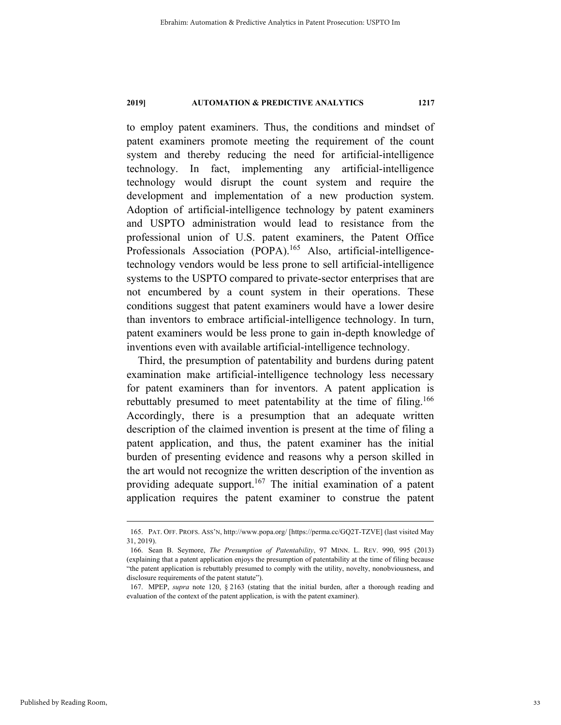to employ patent examiners. Thus, the conditions and mindset of patent examiners promote meeting the requirement of the count system and thereby reducing the need for artificial-intelligence technology. In fact, implementing any artificial-intelligence technology would disrupt the count system and require the development and implementation of a new production system. Adoption of artificial-intelligence technology by patent examiners and USPTO administration would lead to resistance from the professional union of U.S. patent examiners, the Patent Office Professionals Association (POPA).<sup>165</sup> Also, artificial-intelligencetechnology vendors would be less prone to sell artificial-intelligence systems to the USPTO compared to private-sector enterprises that are not encumbered by a count system in their operations. These conditions suggest that patent examiners would have a lower desire than inventors to embrace artificial-intelligence technology. In turn, patent examiners would be less prone to gain in-depth knowledge of inventions even with available artificial-intelligence technology.

Third, the presumption of patentability and burdens during patent examination make artificial-intelligence technology less necessary for patent examiners than for inventors. A patent application is rebuttably presumed to meet patentability at the time of filing.<sup>166</sup> Accordingly, there is a presumption that an adequate written description of the claimed invention is present at the time of filing a patent application, and thus, the patent examiner has the initial burden of presenting evidence and reasons why a person skilled in the art would not recognize the written description of the invention as providing adequate support.<sup>167</sup> The initial examination of a patent application requires the patent examiner to construe the patent

 <sup>165.</sup> PAT. OFF. PROFS. ASS'N, http://www.popa.org/ [https://perma.cc/GQ2T-TZVE] (last visited May 31, 2019).

 <sup>166.</sup> Sean B. Seymore, *The Presumption of Patentability*, 97 MINN. L. REV. 990, 995 (2013) (explaining that a patent application enjoys the presumption of patentability at the time of filing because "the patent application is rebuttably presumed to comply with the utility, novelty, nonobviousness, and disclosure requirements of the patent statute").

 <sup>167.</sup> MPEP, *supra* note 120, § 2163 (stating that the initial burden, after a thorough reading and evaluation of the context of the patent application, is with the patent examiner).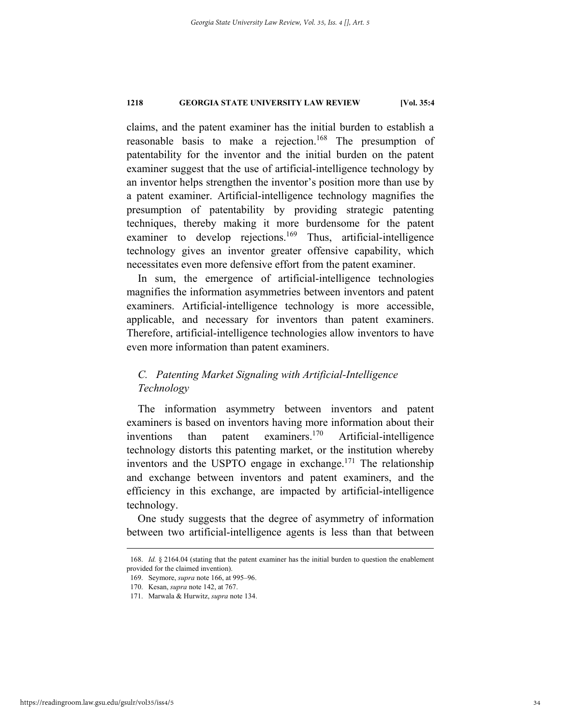claims, and the patent examiner has the initial burden to establish a reasonable basis to make a rejection.<sup>168</sup> The presumption of patentability for the inventor and the initial burden on the patent examiner suggest that the use of artificial-intelligence technology by an inventor helps strengthen the inventor's position more than use by a patent examiner. Artificial-intelligence technology magnifies the presumption of patentability by providing strategic patenting techniques, thereby making it more burdensome for the patent examiner to develop rejections.<sup>169</sup> Thus, artificial-intelligence technology gives an inventor greater offensive capability, which necessitates even more defensive effort from the patent examiner.

In sum, the emergence of artificial-intelligence technologies magnifies the information asymmetries between inventors and patent examiners. Artificial-intelligence technology is more accessible, applicable, and necessary for inventors than patent examiners. Therefore, artificial-intelligence technologies allow inventors to have even more information than patent examiners.

# *C. Patenting Market Signaling with Artificial-Intelligence Technology*

The information asymmetry between inventors and patent examiners is based on inventors having more information about their inventions than patent examiners.<sup>170</sup> Artificial-intelligence technology distorts this patenting market, or the institution whereby inventors and the USPTO engage in exchange.<sup>171</sup> The relationship and exchange between inventors and patent examiners, and the efficiency in this exchange, are impacted by artificial-intelligence technology.

One study suggests that the degree of asymmetry of information between two artificial-intelligence agents is less than that between

 <sup>168.</sup> *Id.* § 2164.04 (stating that the patent examiner has the initial burden to question the enablement provided for the claimed invention).

 <sup>169.</sup> Seymore, *supra* note 166, at 995–96.

 <sup>170.</sup> Kesan, *supra* note 142, at 767.

 <sup>171.</sup> Marwala & Hurwitz, *supra* note 134.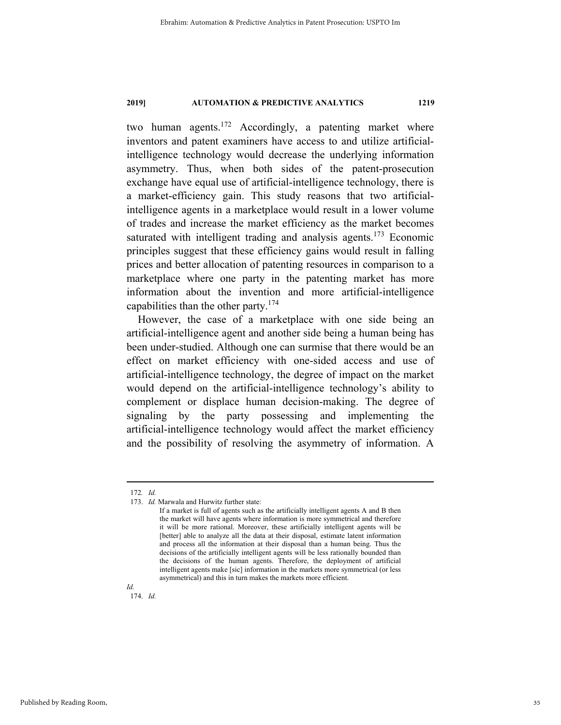two human agents.<sup>172</sup> Accordingly, a patenting market where inventors and patent examiners have access to and utilize artificialintelligence technology would decrease the underlying information asymmetry. Thus, when both sides of the patent-prosecution exchange have equal use of artificial-intelligence technology, there is a market-efficiency gain. This study reasons that two artificialintelligence agents in a marketplace would result in a lower volume of trades and increase the market efficiency as the market becomes saturated with intelligent trading and analysis agents.<sup>173</sup> Economic principles suggest that these efficiency gains would result in falling prices and better allocation of patenting resources in comparison to a marketplace where one party in the patenting market has more information about the invention and more artificial-intelligence capabilities than the other party. $174$ 

However, the case of a marketplace with one side being an artificial-intelligence agent and another side being a human being has been under-studied. Although one can surmise that there would be an effect on market efficiency with one-sided access and use of artificial-intelligence technology, the degree of impact on the market would depend on the artificial-intelligence technology's ability to complement or displace human decision-making. The degree of signaling by the party possessing and implementing the artificial-intelligence technology would affect the market efficiency and the possibility of resolving the asymmetry of information. A

*Id.* 174. *Id.*

 <sup>172</sup>*. Id.*

 <sup>173.</sup> *Id.* Marwala and Hurwitz further state:

If a market is full of agents such as the artificially intelligent agents A and B then the market will have agents where information is more symmetrical and therefore it will be more rational. Moreover, these artificially intelligent agents will be [better] able to analyze all the data at their disposal, estimate latent information and process all the information at their disposal than a human being. Thus the decisions of the artificially intelligent agents will be less rationally bounded than the decisions of the human agents. Therefore, the deployment of artificial intelligent agents make [sic] information in the markets more symmetrical (or less asymmetrical) and this in turn makes the markets more efficient.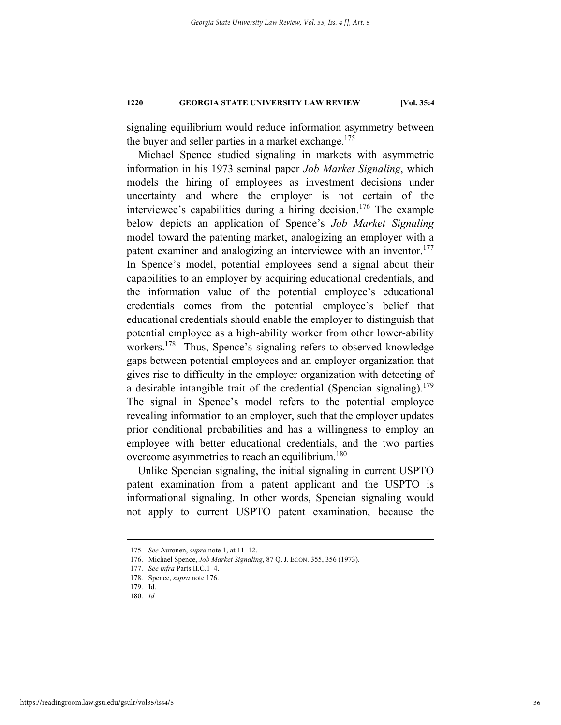signaling equilibrium would reduce information asymmetry between the buyer and seller parties in a market exchange.<sup>175</sup>

Michael Spence studied signaling in markets with asymmetric information in his 1973 seminal paper *Job Market Signaling*, which models the hiring of employees as investment decisions under uncertainty and where the employer is not certain of the interviewee's capabilities during a hiring decision.<sup>176</sup> The example below depicts an application of Spence's *Job Market Signaling* model toward the patenting market, analogizing an employer with a patent examiner and analogizing an interviewee with an inventor.<sup>177</sup> In Spence's model, potential employees send a signal about their capabilities to an employer by acquiring educational credentials, and the information value of the potential employee's educational credentials comes from the potential employee's belief that educational credentials should enable the employer to distinguish that potential employee as a high-ability worker from other lower-ability workers.<sup>178</sup> Thus, Spence's signaling refers to observed knowledge gaps between potential employees and an employer organization that gives rise to difficulty in the employer organization with detecting of a desirable intangible trait of the credential (Spencian signaling).<sup>179</sup> The signal in Spence's model refers to the potential employee revealing information to an employer, such that the employer updates prior conditional probabilities and has a willingness to employ an employee with better educational credentials, and the two parties overcome asymmetries to reach an equilibrium.<sup>180</sup>

Unlike Spencian signaling, the initial signaling in current USPTO patent examination from a patent applicant and the USPTO is informational signaling. In other words, Spencian signaling would not apply to current USPTO patent examination, because the

 <sup>175</sup>*. See* Auronen, *supra* note 1, at 11–12.

 <sup>176.</sup> Michael Spence, *Job Market Signaling*, 87 Q. J. ECON. 355, 356 (1973).

 <sup>177.</sup> *See infra* Parts II.C.1–4.

 <sup>178.</sup> Spence, *supra* note 176.

 <sup>179.</sup> Id.

 <sup>180.</sup> *Id.*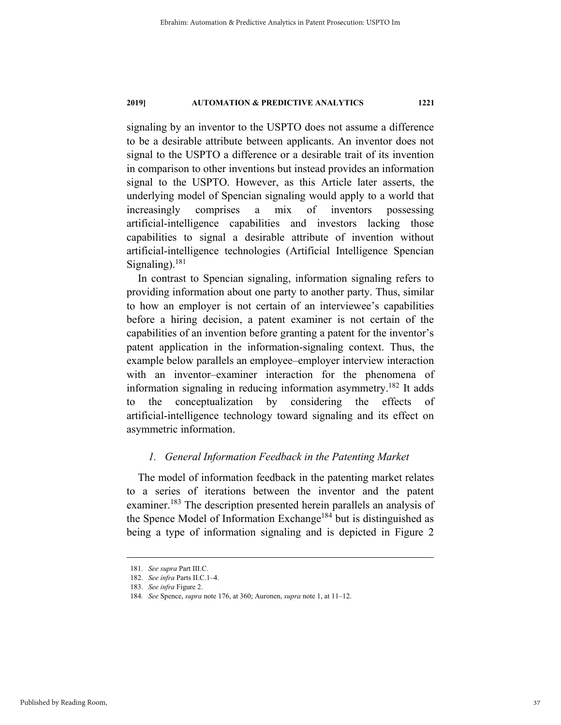signaling by an inventor to the USPTO does not assume a difference to be a desirable attribute between applicants. An inventor does not signal to the USPTO a difference or a desirable trait of its invention in comparison to other inventions but instead provides an information signal to the USPTO. However, as this Article later asserts, the underlying model of Spencian signaling would apply to a world that increasingly comprises a mix of inventors possessing artificial-intelligence capabilities and investors lacking those capabilities to signal a desirable attribute of invention without artificial-intelligence technologies (Artificial Intelligence Spencian Signaling). $181$ 

In contrast to Spencian signaling, information signaling refers to providing information about one party to another party. Thus, similar to how an employer is not certain of an interviewee's capabilities before a hiring decision, a patent examiner is not certain of the capabilities of an invention before granting a patent for the inventor's patent application in the information-signaling context. Thus, the example below parallels an employee–employer interview interaction with an inventor–examiner interaction for the phenomena of information signaling in reducing information asymmetry.182 It adds to the conceptualization by considering the effects of artificial-intelligence technology toward signaling and its effect on asymmetric information.

# *1. General Information Feedback in the Patenting Market*

The model of information feedback in the patenting market relates to a series of iterations between the inventor and the patent examiner.<sup>183</sup> The description presented herein parallels an analysis of the Spence Model of Information Exchange<sup>184</sup> but is distinguished as being a type of information signaling and is depicted in Figure 2

 <sup>181.</sup> *See supra* Part III.C.

 <sup>182.</sup> *See infra* Parts II.C.1–4.

 <sup>183.</sup> *See infra* Figure 2.

<sup>184</sup>*. See* Spence, *supra* note 176, at 360; Auronen, *supra* note 1, at 11–12.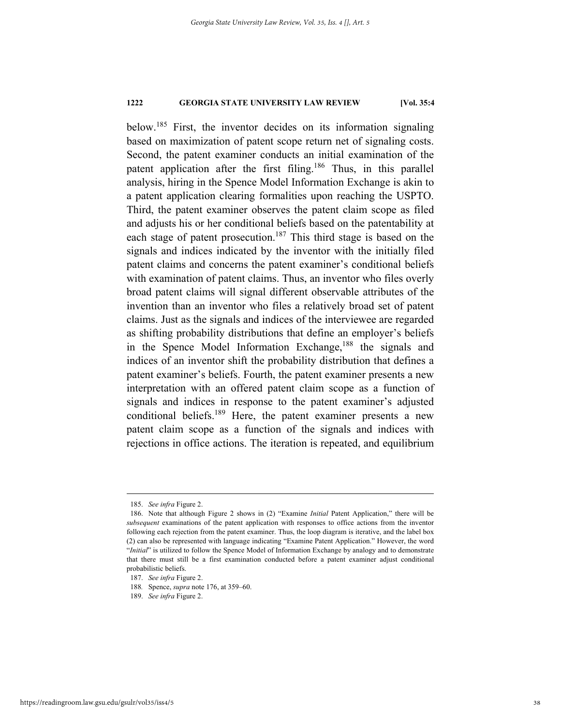below.185 First, the inventor decides on its information signaling based on maximization of patent scope return net of signaling costs. Second, the patent examiner conducts an initial examination of the patent application after the first filing.<sup>186</sup> Thus, in this parallel analysis, hiring in the Spence Model Information Exchange is akin to a patent application clearing formalities upon reaching the USPTO. Third, the patent examiner observes the patent claim scope as filed and adjusts his or her conditional beliefs based on the patentability at each stage of patent prosecution.<sup>187</sup> This third stage is based on the signals and indices indicated by the inventor with the initially filed patent claims and concerns the patent examiner's conditional beliefs with examination of patent claims. Thus, an inventor who files overly broad patent claims will signal different observable attributes of the invention than an inventor who files a relatively broad set of patent claims. Just as the signals and indices of the interviewee are regarded as shifting probability distributions that define an employer's beliefs in the Spence Model Information Exchange,<sup>188</sup> the signals and indices of an inventor shift the probability distribution that defines a patent examiner's beliefs. Fourth, the patent examiner presents a new interpretation with an offered patent claim scope as a function of signals and indices in response to the patent examiner's adjusted conditional beliefs.189 Here, the patent examiner presents a new patent claim scope as a function of the signals and indices with rejections in office actions. The iteration is repeated, and equilibrium

 <sup>185.</sup> *See infra* Figure 2.

 <sup>186.</sup> Note that although Figure 2 shows in (2) "Examine *Initial* Patent Application," there will be *subsequent* examinations of the patent application with responses to office actions from the inventor following each rejection from the patent examiner. Thus, the loop diagram is iterative, and the label box (2) can also be represented with language indicating "Examine Patent Application." However, the word "*Initial*" is utilized to follow the Spence Model of Information Exchange by analogy and to demonstrate that there must still be a first examination conducted before a patent examiner adjust conditional probabilistic beliefs.

 <sup>187.</sup> *See infra* Figure 2.

<sup>188</sup>*.* Spence, *supra* note 176, at 359–60.

 <sup>189.</sup> *See infra* Figure 2.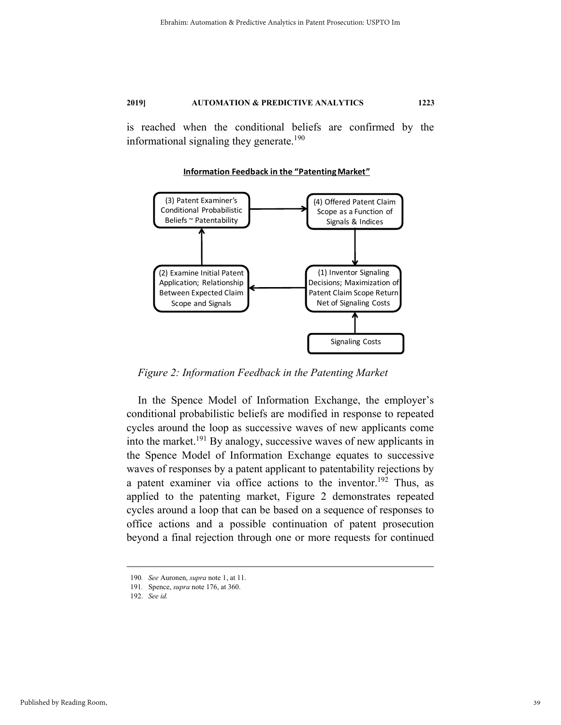is reached when the conditional beliefs are confirmed by the informational signaling they generate.<sup>190</sup>

#### **Information Feedback in the "Patenting Market"**



*Figure 2: Information Feedback in the Patenting Market* 

In the Spence Model of Information Exchange, the employer's conditional probabilistic beliefs are modified in response to repeated cycles around the loop as successive waves of new applicants come into the market.<sup>191</sup> By analogy, successive waves of new applicants in the Spence Model of Information Exchange equates to successive waves of responses by a patent applicant to patentability rejections by a patent examiner via office actions to the inventor.<sup>192</sup> Thus, as applied to the patenting market, Figure 2 demonstrates repeated cycles around a loop that can be based on a sequence of responses to office actions and a possible continuation of patent prosecution beyond a final rejection through one or more requests for continued

 <sup>190</sup>*. See* Auronen, *supra* note 1, at 11.

<sup>191</sup>*.* Spence, *supra* note 176, at 360.

 <sup>192.</sup> *See id.*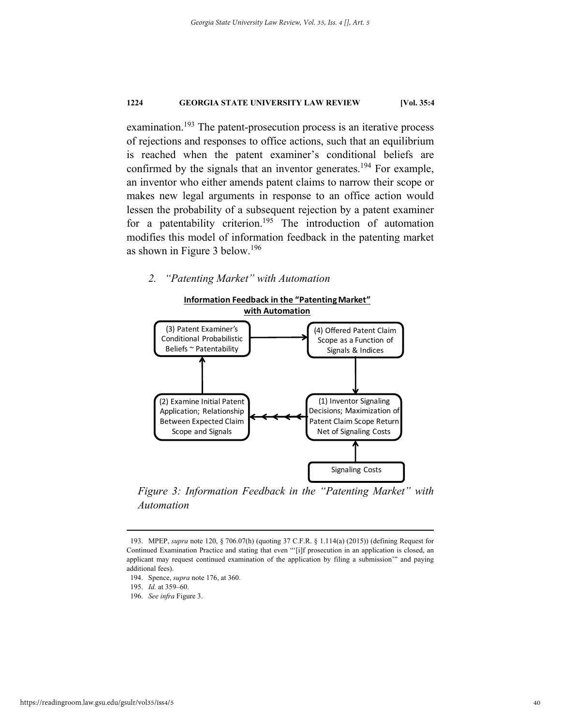examination.<sup>193</sup> The patent-prosecution process is an iterative process of rejections and responses to office actions, such that an equilibrium is reached when the patent examiner's conditional beliefs are confirmed by the signals that an inventor generates.<sup>194</sup> For example, an inventor who either amends patent claims to narrow their scope or makes new legal arguments in response to an office action would lessen the probability of a subsequent rejection by a patent examiner for a patentability criterion.<sup>195</sup> The introduction of automation modifies this model of information feedback in the patenting market as shown in Figure 3 below.<sup>196</sup>

**Information Feedback in the "Patenting Market"**

# *2. "Patenting Market" with Automation*



*Figure 3: Information Feedback in the "Patenting Market" with Automation* 

- 194. Spence, *supra* note 176, at 360.
- 195. *Id.* at 359–60.
- 196. *See infra* Figure 3.

 <sup>193.</sup> MPEP, *supra* note 120, § 706.07(h) (quoting 37 C.F.R. § 1.114(a) (2015)) (defining Request for Continued Examination Practice and stating that even "'[i]f prosecution in an application is closed, an applicant may request continued examination of the application by filing a submission'" and paying additional fees).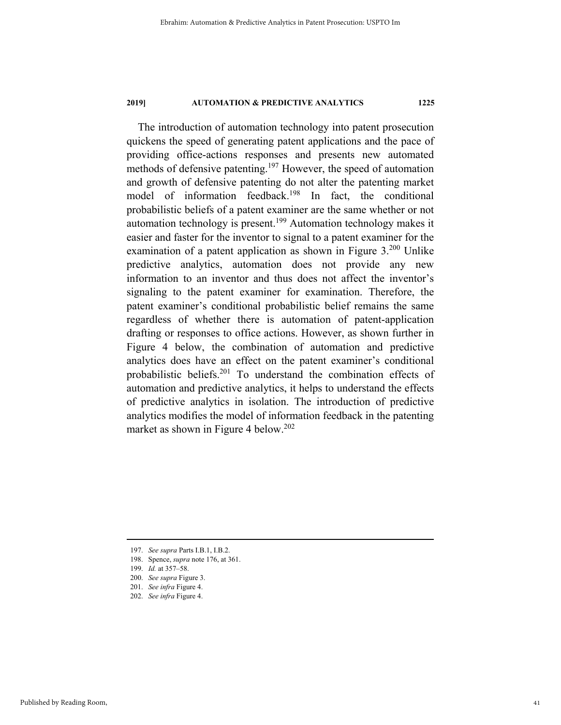The introduction of automation technology into patent prosecution quickens the speed of generating patent applications and the pace of providing office-actions responses and presents new automated methods of defensive patenting.<sup>197</sup> However, the speed of automation and growth of defensive patenting do not alter the patenting market model of information feedback.<sup>198</sup> In fact, the conditional probabilistic beliefs of a patent examiner are the same whether or not automation technology is present.199 Automation technology makes it easier and faster for the inventor to signal to a patent examiner for the examination of a patent application as shown in Figure  $3.200$  Unlike predictive analytics, automation does not provide any new information to an inventor and thus does not affect the inventor's signaling to the patent examiner for examination. Therefore, the patent examiner's conditional probabilistic belief remains the same regardless of whether there is automation of patent-application drafting or responses to office actions. However, as shown further in Figure 4 below, the combination of automation and predictive analytics does have an effect on the patent examiner's conditional probabilistic beliefs.201 To understand the combination effects of automation and predictive analytics, it helps to understand the effects of predictive analytics in isolation. The introduction of predictive analytics modifies the model of information feedback in the patenting market as shown in Figure 4 below.<sup>202</sup>

- 197. *See supra* Parts I.B.1, I.B.2.
- 198. Spence, *supra* note 176, at 361.
- 199. *Id.* at 357–58.
- 200. *See supra* Figure 3.
- 201. *See infra* Figure 4.
- 202. *See infra* Figure 4.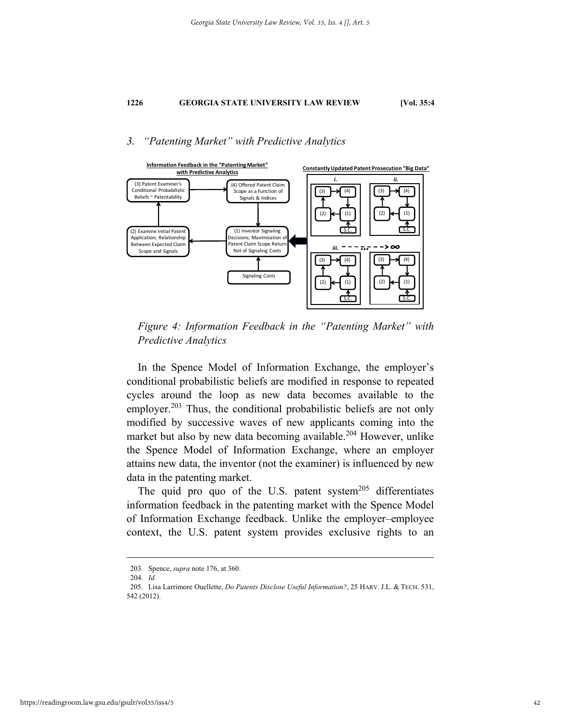# *3. "Patenting Market" with Predictive Analytics*



*Figure 4: Information Feedback in the "Patenting Market" with Predictive Analytics* 

In the Spence Model of Information Exchange, the employer's conditional probabilistic beliefs are modified in response to repeated cycles around the loop as new data becomes available to the employer.<sup>203</sup> Thus, the conditional probabilistic beliefs are not only modified by successive waves of new applicants coming into the market but also by new data becoming available.<sup>204</sup> However, unlike the Spence Model of Information Exchange, where an employer attains new data, the inventor (not the examiner) is influenced by new data in the patenting market.

The quid pro quo of the U.S. patent system<sup>205</sup> differentiates information feedback in the patenting market with the Spence Model of Information Exchange feedback. Unlike the employer–employee context, the U.S. patent system provides exclusive rights to an

 <sup>203</sup>*.* Spence, *supra* note 176, at 360.

 <sup>204.</sup> *Id.* 

 <sup>205.</sup> Lisa Larrimore Ouellette, *Do Patents Disclose Useful Information?*, 25 HARV. J.L. & TECH. 531, 542 (2012).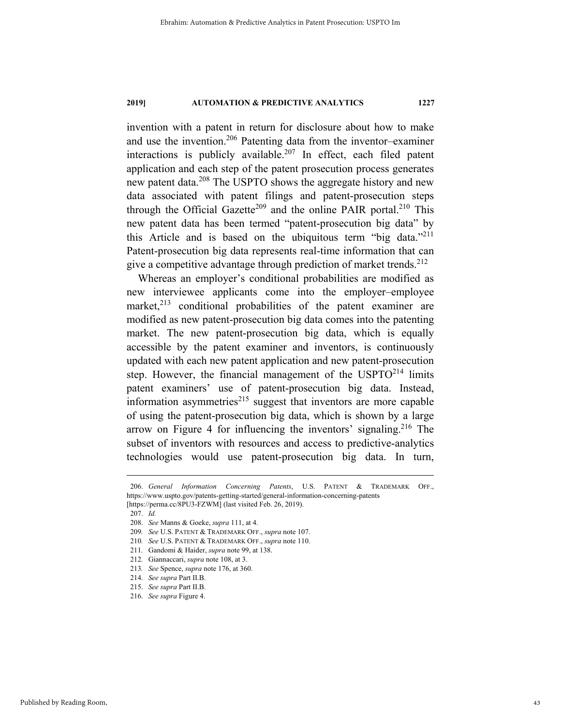invention with a patent in return for disclosure about how to make and use the invention.206 Patenting data from the inventor–examiner interactions is publicly available.<sup>207</sup> In effect, each filed patent application and each step of the patent prosecution process generates new patent data.208 The USPTO shows the aggregate history and new data associated with patent filings and patent-prosecution steps through the Official Gazette<sup>209</sup> and the online PAIR portal.<sup>210</sup> This new patent data has been termed "patent-prosecution big data" by this Article and is based on the ubiquitous term "big data."211 Patent-prosecution big data represents real-time information that can give a competitive advantage through prediction of market trends.  $2^{12}$ 

Whereas an employer's conditional probabilities are modified as new interviewee applicants come into the employer–employee market, $2^{13}$  conditional probabilities of the patent examiner are modified as new patent-prosecution big data comes into the patenting market. The new patent-prosecution big data, which is equally accessible by the patent examiner and inventors, is continuously updated with each new patent application and new patent-prosecution step. However, the financial management of the USPTO<sup>214</sup> limits patent examiners' use of patent-prosecution big data. Instead, information asymmetries $215$  suggest that inventors are more capable of using the patent-prosecution big data, which is shown by a large arrow on Figure 4 for influencing the inventors' signaling.<sup>216</sup> The subset of inventors with resources and access to predictive-analytics technologies would use patent-prosecution big data. In turn,

 <sup>206.</sup> *General Information Concerning Patents*, U.S. PATENT & TRADEMARK OFF., https://www.uspto.gov/patents-getting-started/general-information-concerning-patents [https://perma.cc/8PU3-FZWM] (last visited Feb. 26, 2019).

 <sup>207.</sup> *Id.* 

 <sup>208.</sup> *See* Manns & Goeke, *supra* 111, at 4.

<sup>209</sup>*. See* U.S. PATENT & TRADEMARK OFF., *supra* note 107.

<sup>210</sup>*. See* U.S. PATENT & TRADEMARK OFF., *supra* note 110.

<sup>211</sup>*.* Gandomi & Haider, *supra* note 99, at 138.

<sup>212</sup>*.* Giannaccari, *supra* note 108, at 3.

<sup>213</sup>*. See* Spence, *supra* note 176, at 360.

 <sup>214.</sup> *See supra* Part II.B.

 <sup>215.</sup> *See supra* Part II.B.

 <sup>216.</sup> *See supra* Figure 4.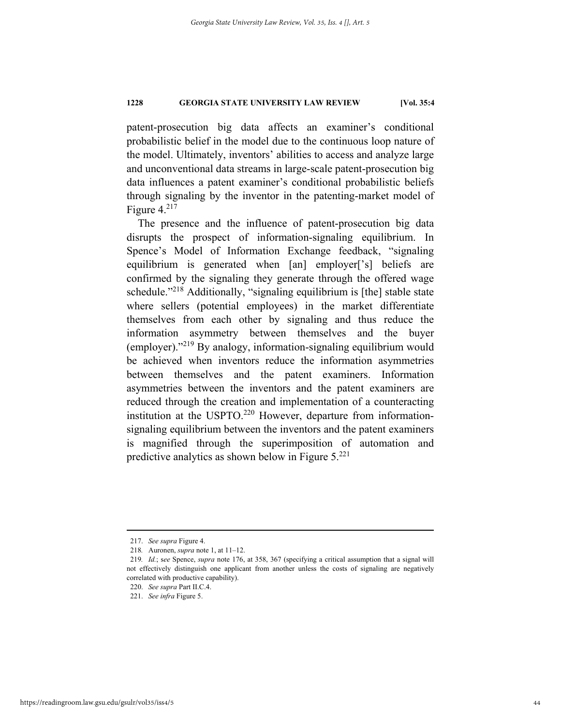patent-prosecution big data affects an examiner's conditional probabilistic belief in the model due to the continuous loop nature of the model. Ultimately, inventors' abilities to access and analyze large and unconventional data streams in large-scale patent-prosecution big data influences a patent examiner's conditional probabilistic beliefs through signaling by the inventor in the patenting-market model of Figure  $4.^{217}$ 

The presence and the influence of patent-prosecution big data disrupts the prospect of information-signaling equilibrium. In Spence's Model of Information Exchange feedback, "signaling equilibrium is generated when [an] employer['s] beliefs are confirmed by the signaling they generate through the offered wage schedule."<sup>218</sup> Additionally, "signaling equilibrium is [the] stable state where sellers (potential employees) in the market differentiate themselves from each other by signaling and thus reduce the information asymmetry between themselves and the buyer (employer)."219 By analogy, information-signaling equilibrium would be achieved when inventors reduce the information asymmetries between themselves and the patent examiners. Information asymmetries between the inventors and the patent examiners are reduced through the creation and implementation of a counteracting institution at the USPTO.<sup>220</sup> However, departure from informationsignaling equilibrium between the inventors and the patent examiners is magnified through the superimposition of automation and predictive analytics as shown below in Figure 5.<sup>221</sup>

 <sup>217.</sup> *See supra* Figure 4.

<sup>218</sup>*.* Auronen, *supra* note 1, at 11–12.

<sup>219</sup>*. Id.*; s*ee* Spence, *supra* note 176, at 358, 367 (specifying a critical assumption that a signal will not effectively distinguish one applicant from another unless the costs of signaling are negatively correlated with productive capability).

 <sup>220.</sup> *See supra* Part II.C.4.

 <sup>221.</sup> *See infra* Figure 5.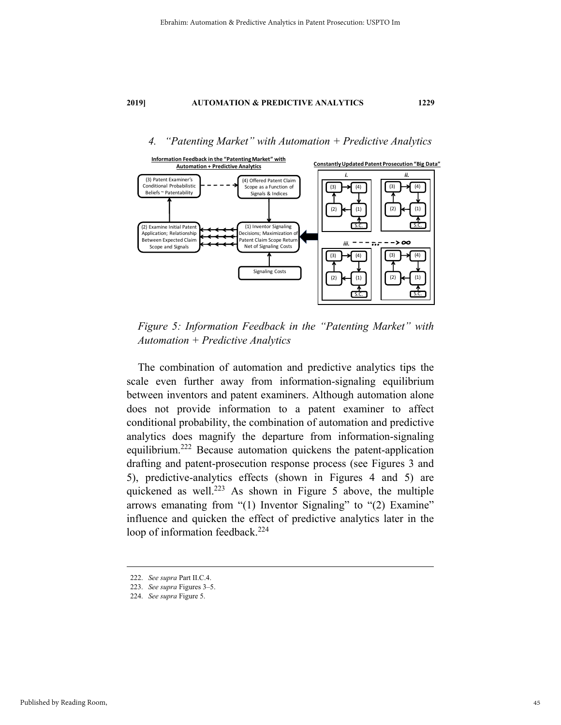### *4. "Patenting Market" with Automation + Predictive Analytics*



*Figure 5: Information Feedback in the "Patenting Market" with Automation + Predictive Analytics* 

The combination of automation and predictive analytics tips the scale even further away from information-signaling equilibrium between inventors and patent examiners. Although automation alone does not provide information to a patent examiner to affect conditional probability, the combination of automation and predictive analytics does magnify the departure from information-signaling equilibrium.222 Because automation quickens the patent-application drafting and patent-prosecution response process (see Figures 3 and 5), predictive-analytics effects (shown in Figures 4 and 5) are quickened as well.<sup>223</sup> As shown in Figure 5 above, the multiple arrows emanating from "(1) Inventor Signaling" to "(2) Examine" influence and quicken the effect of predictive analytics later in the loop of information feedback.<sup>224</sup>

 <sup>222.</sup> *See supra* Part II.C.4.

 <sup>223.</sup> *See supra* Figures 3–5.

 <sup>224.</sup> *See supra* Figure 5.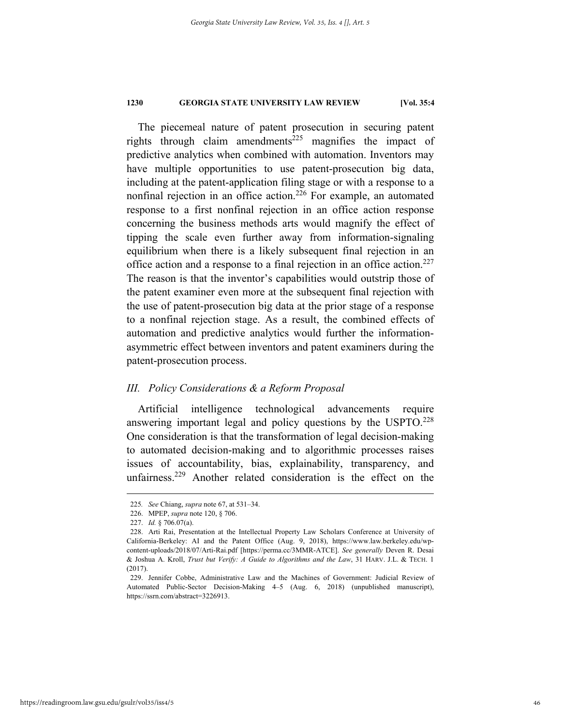The piecemeal nature of patent prosecution in securing patent rights through claim amendments<sup>225</sup> magnifies the impact of predictive analytics when combined with automation. Inventors may have multiple opportunities to use patent-prosecution big data, including at the patent-application filing stage or with a response to a nonfinal rejection in an office action.<sup>226</sup> For example, an automated response to a first nonfinal rejection in an office action response concerning the business methods arts would magnify the effect of tipping the scale even further away from information-signaling equilibrium when there is a likely subsequent final rejection in an office action and a response to a final rejection in an office action.<sup>227</sup> The reason is that the inventor's capabilities would outstrip those of the patent examiner even more at the subsequent final rejection with the use of patent-prosecution big data at the prior stage of a response to a nonfinal rejection stage. As a result, the combined effects of automation and predictive analytics would further the informationasymmetric effect between inventors and patent examiners during the patent-prosecution process.

#### *III. Policy Considerations & a Reform Proposal*

Artificial intelligence technological advancements require answering important legal and policy questions by the USPTO.<sup>228</sup> One consideration is that the transformation of legal decision-making to automated decision-making and to algorithmic processes raises issues of accountability, bias, explainability, transparency, and unfairness.<sup>229</sup> Another related consideration is the effect on the

 <sup>225</sup>*. See* Chiang, *supra* note 67, at 531–34.

 <sup>226.</sup> MPEP, *supra* note 120, § 706.

 <sup>227.</sup> *Id.* § 706.07(a).

 <sup>228.</sup> Arti Rai, Presentation at the Intellectual Property Law Scholars Conference at University of California-Berkeley: AI and the Patent Office (Aug. 9, 2018), https://www.law.berkeley.edu/wpcontent-uploads/2018/07/Arti-Rai.pdf [https://perma.cc/3MMR-ATCE]. *See generally* Deven R. Desai & Joshua A. Kroll, *Trust but Verify: A Guide to Algorithms and the Law*, 31 HARV. J.L. & TECH. 1 (2017).

 <sup>229.</sup> Jennifer Cobbe, Administrative Law and the Machines of Government: Judicial Review of Automated Public-Sector Decision-Making 4–5 (Aug. 6, 2018) (unpublished manuscript), https://ssrn.com/abstract=3226913.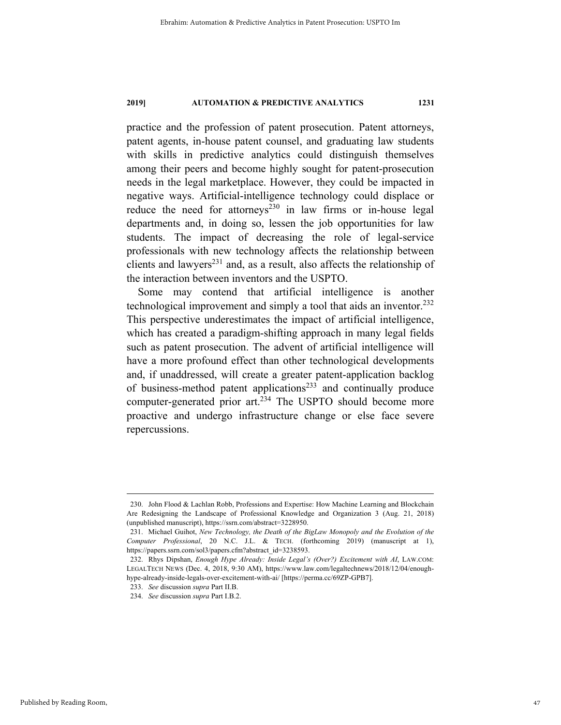practice and the profession of patent prosecution. Patent attorneys, patent agents, in-house patent counsel, and graduating law students with skills in predictive analytics could distinguish themselves among their peers and become highly sought for patent-prosecution needs in the legal marketplace. However, they could be impacted in negative ways. Artificial-intelligence technology could displace or reduce the need for attorneys<sup>230</sup> in law firms or in-house legal departments and, in doing so, lessen the job opportunities for law students. The impact of decreasing the role of legal-service professionals with new technology affects the relationship between clients and lawyers<sup>231</sup> and, as a result, also affects the relationship of the interaction between inventors and the USPTO.

Some may contend that artificial intelligence is another technological improvement and simply a tool that aids an inventor.<sup>232</sup> This perspective underestimates the impact of artificial intelligence, which has created a paradigm-shifting approach in many legal fields such as patent prosecution. The advent of artificial intelligence will have a more profound effect than other technological developments and, if unaddressed, will create a greater patent-application backlog of business-method patent applications<sup>233</sup> and continually produce computer-generated prior art.<sup>234</sup> The USPTO should become more proactive and undergo infrastructure change or else face severe repercussions.

 <sup>230.</sup> John Flood & Lachlan Robb, Professions and Expertise: How Machine Learning and Blockchain Are Redesigning the Landscape of Professional Knowledge and Organization 3 (Aug. 21, 2018) (unpublished manuscript), https://ssrn.com/abstract=3228950.

 <sup>231.</sup> Michael Guihot, *New Technology, the Death of the BigLaw Monopoly and the Evolution of the Computer Professional*, 20 N.C. J.L. & TECH. (forthcoming 2019) (manuscript at 1), https://papers.ssrn.com/sol3/papers.cfm?abstract\_id=3238593.

 <sup>232.</sup> Rhys Dipshan, *Enough Hype Already: Inside Legal's (Over?) Excitement with AI*, LAW.COM: LEGALTECH NEWS (Dec. 4, 2018, 9:30 AM), https://www.law.com/legaltechnews/2018/12/04/enoughhype-already-inside-legals-over-excitement-with-ai/ [https://perma.cc/69ZP-GPB7].

 <sup>233.</sup> *See* discussion *supra* Part II.B.

 <sup>234.</sup> *See* discussion *supra* Part I.B.2.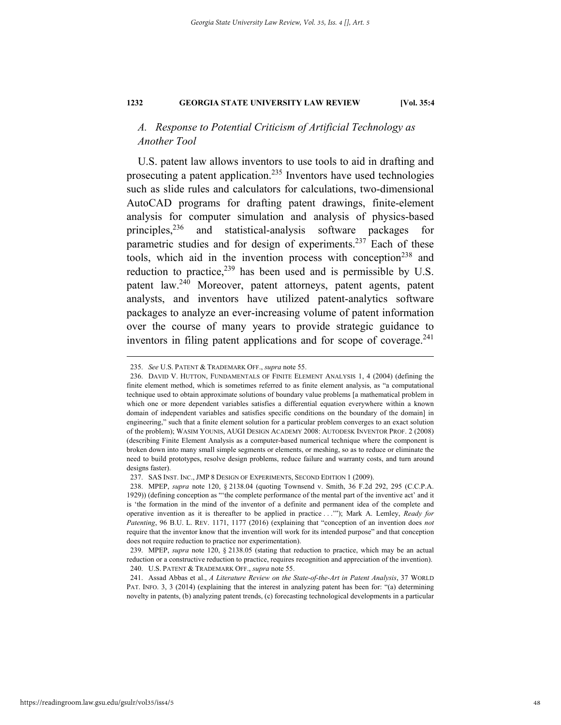# *A. Response to Potential Criticism of Artificial Technology as Another Tool*

U.S. patent law allows inventors to use tools to aid in drafting and prosecuting a patent application.<sup>235</sup> Inventors have used technologies such as slide rules and calculators for calculations, two-dimensional AutoCAD programs for drafting patent drawings, finite-element analysis for computer simulation and analysis of physics-based principles,<sup>236</sup> and statistical-analysis software packages for parametric studies and for design of experiments.<sup>237</sup> Each of these tools, which aid in the invention process with conception<sup>238</sup> and reduction to practice, $239$  has been used and is permissible by U.S. patent law.240 Moreover, patent attorneys, patent agents, patent analysts, and inventors have utilized patent-analytics software packages to analyze an ever-increasing volume of patent information over the course of many years to provide strategic guidance to inventors in filing patent applications and for scope of coverage. $^{241}$ 

 <sup>235.</sup> *See* U.S. PATENT & TRADEMARK OFF., *supra* note 55.

 <sup>236.</sup> DAVID V. HUTTON, FUNDAMENTALS OF FINITE ELEMENT ANALYSIS 1, 4 (2004) (defining the finite element method, which is sometimes referred to as finite element analysis, as "a computational technique used to obtain approximate solutions of boundary value problems [a mathematical problem in which one or more dependent variables satisfies a differential equation everywhere within a known domain of independent variables and satisfies specific conditions on the boundary of the domain] in engineering," such that a finite element solution for a particular problem converges to an exact solution of the problem); WASIM YOUNIS, AUGI DESIGN ACADEMY 2008: AUTODESK INVENTOR PROF. 2 (2008) (describing Finite Element Analysis as a computer-based numerical technique where the component is broken down into many small simple segments or elements, or meshing, so as to reduce or eliminate the need to build prototypes, resolve design problems, reduce failure and warranty costs, and turn around designs faster).

 <sup>237.</sup> SAS INST. INC., JMP 8 DESIGN OF EXPERIMENTS, SECOND EDITION 1 (2009).

 <sup>238.</sup> MPEP, *supra* note 120, § 2138.04 (quoting Townsend v. Smith, 36 F.2d 292, 295 (C.C.P.A. 1929)) (defining conception as "'the complete performance of the mental part of the inventive act' and it is 'the formation in the mind of the inventor of a definite and permanent idea of the complete and operative invention as it is thereafter to be applied in practice . . .'"); Mark A. Lemley, *Ready for Patenting*, 96 B.U. L. REV. 1171, 1177 (2016) (explaining that "conception of an invention does *not* require that the inventor know that the invention will work for its intended purpose" and that conception does not require reduction to practice nor experimentation).

 <sup>239.</sup> MPEP, *supra* note 120, § 2138.05 (stating that reduction to practice, which may be an actual reduction or a constructive reduction to practice, requires recognition and appreciation of the invention). 240. U.S. PATENT & TRADEMARK OFF., *supra* note 55.

 <sup>241.</sup> Assad Abbas et al., *A Literature Review on the State-of-the-Art in Patent Analysis*, 37 WORLD PAT. INFO. 3, 3 (2014) (explaining that the interest in analyzing patent has been for: "(a) determining novelty in patents, (b) analyzing patent trends, (c) forecasting technological developments in a particular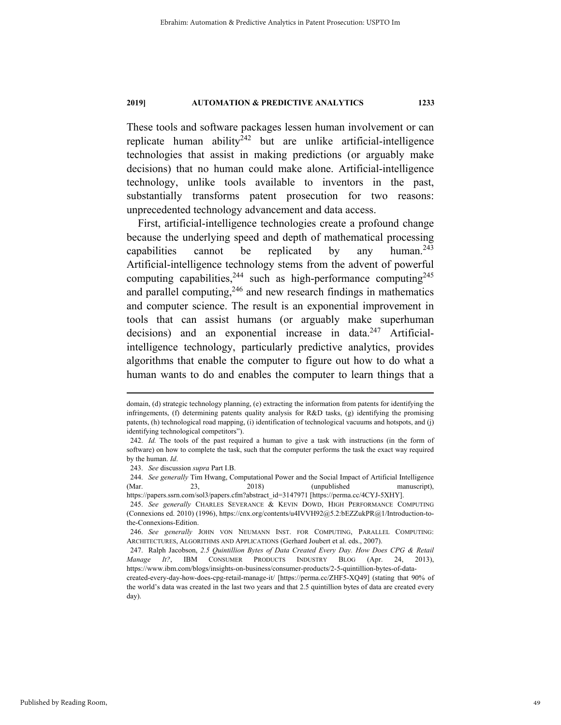These tools and software packages lessen human involvement or can replicate human ability<sup>242</sup> but are unlike artificial-intelligence technologies that assist in making predictions (or arguably make decisions) that no human could make alone. Artificial-intelligence technology, unlike tools available to inventors in the past, substantially transforms patent prosecution for two reasons: unprecedented technology advancement and data access.

First, artificial-intelligence technologies create a profound change because the underlying speed and depth of mathematical processing capabilities cannot be replicated by any human. $243$ Artificial-intelligence technology stems from the advent of powerful computing capabilities,  $244$  such as high-performance computing  $245$ and parallel computing,  $246$  and new research findings in mathematics and computer science. The result is an exponential improvement in tools that can assist humans (or arguably make superhuman decisions) and an exponential increase in data. $247$  Artificialintelligence technology, particularly predictive analytics, provides algorithms that enable the computer to figure out how to do what a human wants to do and enables the computer to learn things that a

domain, (d) strategic technology planning, (e) extracting the information from patents for identifying the infringements, (f) determining patents quality analysis for R&D tasks, (g) identifying the promising patents, (h) technological road mapping, (i) identification of technological vacuums and hotspots, and (j) identifying technological competitors").

 <sup>242.</sup> *Id.* The tools of the past required a human to give a task with instructions (in the form of software) on how to complete the task, such that the computer performs the task the exact way required by the human. *Id*.

 <sup>243.</sup> *See* discussion *supra* Part I.B.

 <sup>244.</sup> *See generally* Tim Hwang, Computational Power and the Social Impact of Artificial Intelligence (Mar. 23, 2018) (unpublished manuscript),

https://papers.ssrn.com/sol3/papers.cfm?abstract\_id=3147971 [https://perma.cc/4CYJ-5XHY]. 245. *See generally* CHARLES SEVERANCE & KEVIN DOWD, HIGH PERFORMANCE COMPUTING (Connexions ed. 2010) (1996), https://cnx.org/contents/u4IVVH92@5.2:bEZZukPR@1/Introduction-tothe-Connexions-Edition.

 <sup>246.</sup> *See generally* JOHN VON NEUMANN INST. FOR COMPUTING, PARALLEL COMPUTING: ARCHITECTURES, ALGORITHMS AND APPLICATIONS (Gerhard Joubert et al. eds., 2007).

 <sup>247.</sup> Ralph Jacobson, *2.5 Quintillion Bytes of Data Created Every Day. How Does CPG & Retail Manage It?*, IBM CONSUMER PRODUCTS INDUSTRY BLOG (Apr. 24, 2013), https://www.ibm.com/blogs/insights-on-business/consumer-products/2-5-quintillion-bytes-of-data-

created-every-day-how-does-cpg-retail-manage-it/ [https://perma.cc/ZHF5-XQ49] (stating that 90% of the world's data was created in the last two years and that 2.5 quintillion bytes of data are created every day).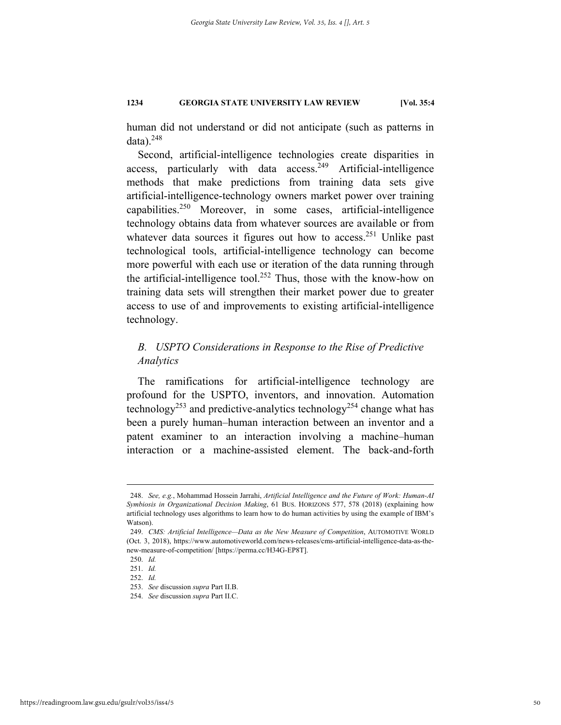human did not understand or did not anticipate (such as patterns in data). $248$ 

Second, artificial-intelligence technologies create disparities in access, particularly with data  $access.^{249}$  Artificial-intelligence methods that make predictions from training data sets give artificial-intelligence-technology owners market power over training  $capabilities.<sup>250</sup>$  Moreover, in some cases, artificial-intelligence technology obtains data from whatever sources are available or from whatever data sources it figures out how to access.<sup>251</sup> Unlike past technological tools, artificial-intelligence technology can become more powerful with each use or iteration of the data running through the artificial-intelligence tool.<sup>252</sup> Thus, those with the know-how on training data sets will strengthen their market power due to greater access to use of and improvements to existing artificial-intelligence technology.

# *B. USPTO Considerations in Response to the Rise of Predictive Analytics*

The ramifications for artificial-intelligence technology are profound for the USPTO, inventors, and innovation. Automation technology<sup>253</sup> and predictive-analytics technology<sup>254</sup> change what has been a purely human–human interaction between an inventor and a patent examiner to an interaction involving a machine–human interaction or a machine-assisted element. The back-and-forth

 <sup>248.</sup> *See, e.g.*, Mohammad Hossein Jarrahi, *Artificial Intelligence and the Future of Work: Human-AI Symbiosis in Organizational Decision Making*, 61 BUS. HORIZONS 577, 578 (2018) (explaining how artificial technology uses algorithms to learn how to do human activities by using the example of IBM's Watson).

 <sup>249.</sup> *CMS: Artificial Intelligence—Data as the New Measure of Competition*, AUTOMOTIVE WORLD (Oct. 3, 2018), https://www.automotiveworld.com/news-releases/cms-artificial-intelligence-data-as-thenew-measure-of-competition/ [https://perma.cc/H34G-EP8T].

 <sup>250.</sup> *Id.*

 <sup>251.</sup> *Id.*

 <sup>252.</sup> *Id.*

 <sup>253.</sup> *See* discussion *supra* Part II.B.

 <sup>254.</sup> *See* discussion *supra* Part II.C.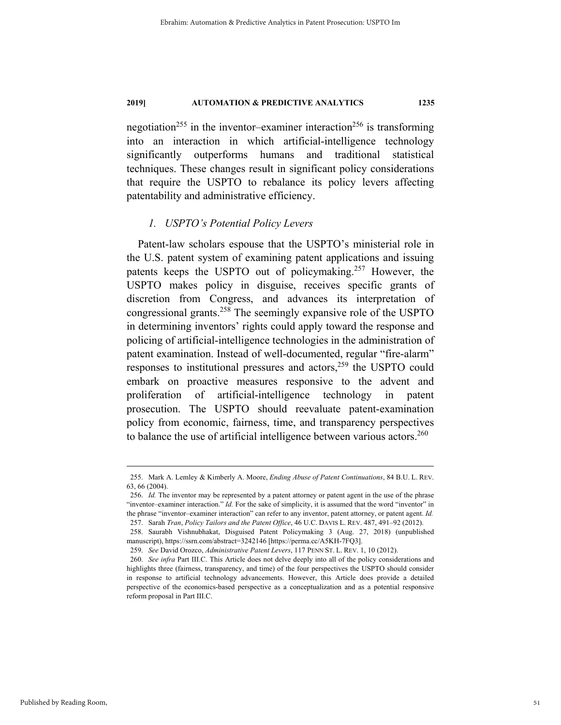negotiation<sup>255</sup> in the inventor–examiner interaction<sup>256</sup> is transforming into an interaction in which artificial-intelligence technology significantly outperforms humans and traditional statistical techniques. These changes result in significant policy considerations that require the USPTO to rebalance its policy levers affecting patentability and administrative efficiency.

# *1. USPTO's Potential Policy Levers*

Patent-law scholars espouse that the USPTO's ministerial role in the U.S. patent system of examining patent applications and issuing patents keeps the USPTO out of policymaking.<sup>257</sup> However, the USPTO makes policy in disguise, receives specific grants of discretion from Congress, and advances its interpretation of congressional grants.258 The seemingly expansive role of the USPTO in determining inventors' rights could apply toward the response and policing of artificial-intelligence technologies in the administration of patent examination. Instead of well-documented, regular "fire-alarm" responses to institutional pressures and actors,259 the USPTO could embark on proactive measures responsive to the advent and proliferation of artificial-intelligence technology in patent prosecution. The USPTO should reevaluate patent-examination policy from economic, fairness, time, and transparency perspectives to balance the use of artificial intelligence between various actors.<sup>260</sup>

 <sup>255.</sup> Mark A. Lemley & Kimberly A. Moore, *Ending Abuse of Patent Continuations*, 84 B.U. L. REV. 63, 66 (2004).

 <sup>256.</sup> *Id.* The inventor may be represented by a patent attorney or patent agent in the use of the phrase "inventor–examiner interaction." *Id.* For the sake of simplicity, it is assumed that the word "inventor" in the phrase "inventor–examiner interaction" can refer to any inventor, patent attorney, or patent agent. *Id.*

 <sup>257.</sup> Sarah *Tran*, *Policy Tailors and the Patent Office*, 46 U.C. DAVIS L. REV. 487, 491–92 (2012).

 <sup>258.</sup> Saurabh Vishnubhakat, Disguised Patent Policymaking 3 (Aug. 27, 2018) (unpublished manuscript), https://ssrn.com/abstract=3242146 [https://perma.cc/A5KH-7FQ3].

 <sup>259.</sup> *See* David Orozco, *Administrative Patent Levers*, 117 PENN ST. L. REV. 1, 10 (2012).

 <sup>260.</sup> *See infra* Part III.C. This Article does not delve deeply into all of the policy considerations and highlights three (fairness, transparency, and time) of the four perspectives the USPTO should consider in response to artificial technology advancements. However, this Article does provide a detailed perspective of the economics-based perspective as a conceptualization and as a potential responsive reform proposal in Part III.C.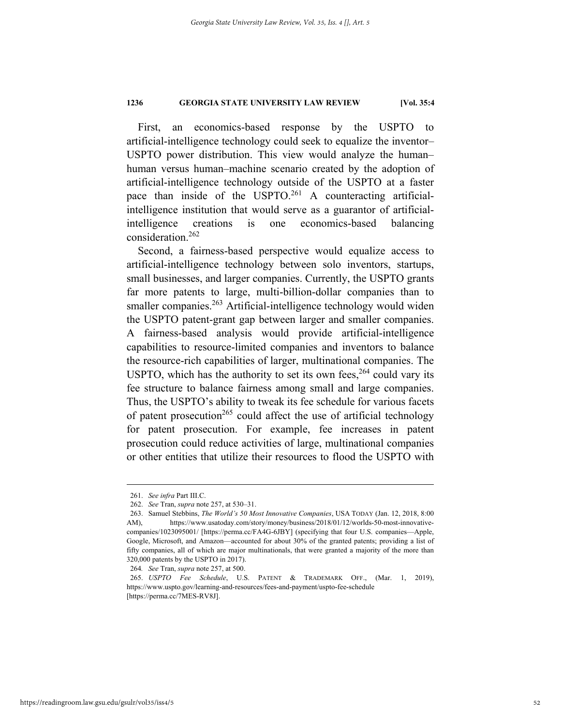First, an economics-based response by the USPTO to artificial-intelligence technology could seek to equalize the inventor– USPTO power distribution. This view would analyze the human– human versus human–machine scenario created by the adoption of artificial-intelligence technology outside of the USPTO at a faster pace than inside of the USPTO.<sup>261</sup> A counteracting artificialintelligence institution that would serve as a guarantor of artificialintelligence creations is one economics-based balancing consideration.262

Second, a fairness-based perspective would equalize access to artificial-intelligence technology between solo inventors, startups, small businesses, and larger companies. Currently, the USPTO grants far more patents to large, multi-billion-dollar companies than to smaller companies.<sup>263</sup> Artificial-intelligence technology would widen the USPTO patent-grant gap between larger and smaller companies. A fairness-based analysis would provide artificial-intelligence capabilities to resource-limited companies and inventors to balance the resource-rich capabilities of larger, multinational companies. The USPTO, which has the authority to set its own fees,  $264$  could vary its fee structure to balance fairness among small and large companies. Thus, the USPTO's ability to tweak its fee schedule for various facets of patent prosecution<sup>265</sup> could affect the use of artificial technology for patent prosecution. For example, fee increases in patent prosecution could reduce activities of large, multinational companies or other entities that utilize their resources to flood the USPTO with

 <sup>261.</sup> *See infra* Part III.C.

 <sup>262.</sup> *See* Tran, *supra* note 257, at 530–31.

 <sup>263.</sup> Samuel Stebbins, *The World's 50 Most Innovative Companies*, USA TODAY (Jan. 12, 2018, 8:00 AM), https://www.usatoday.com/story/money/business/2018/01/12/worlds-50-most-innovativecompanies/1023095001/ [https://perma.cc/FA4G-6JBY] (specifying that four U.S. companies—Apple, Google, Microsoft, and Amazon—accounted for about 30% of the granted patents; providing a list of fifty companies, all of which are major multinationals, that were granted a majority of the more than 320,000 patents by the USPTO in 2017).

<sup>264</sup>*. See* Tran, *supra* note 257, at 500.

 <sup>265.</sup> *USPTO Fee Schedule*, U.S. PATENT & TRADEMARK OFF., (Mar. 1, 2019), https://www.uspto.gov/learning-and-resources/fees-and-payment/uspto-fee-schedule [https://perma.cc/7MES-RV8J].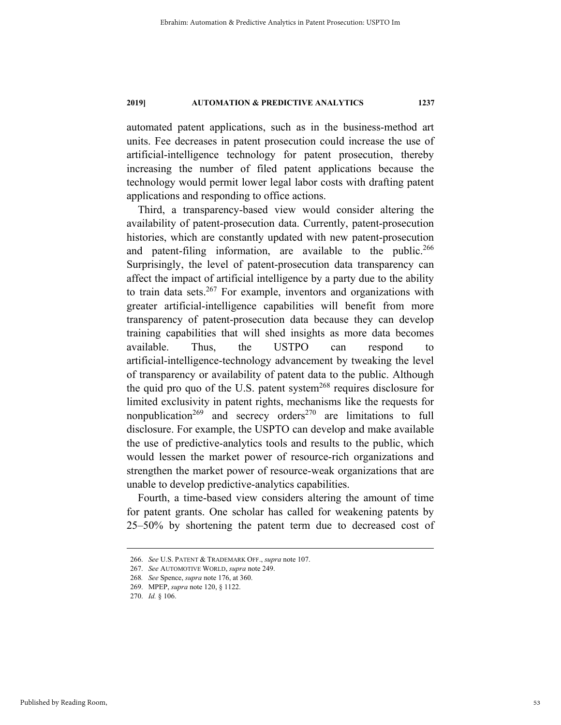automated patent applications, such as in the business-method art units. Fee decreases in patent prosecution could increase the use of artificial-intelligence technology for patent prosecution, thereby increasing the number of filed patent applications because the technology would permit lower legal labor costs with drafting patent applications and responding to office actions.

Third, a transparency-based view would consider altering the availability of patent-prosecution data. Currently, patent-prosecution histories, which are constantly updated with new patent-prosecution and patent-filing information, are available to the public.<sup>266</sup> Surprisingly, the level of patent-prosecution data transparency can affect the impact of artificial intelligence by a party due to the ability to train data sets.<sup>267</sup> For example, inventors and organizations with greater artificial-intelligence capabilities will benefit from more transparency of patent-prosecution data because they can develop training capabilities that will shed insights as more data becomes available. Thus, the USTPO can respond to artificial-intelligence-technology advancement by tweaking the level of transparency or availability of patent data to the public. Although the quid pro quo of the U.S. patent system<sup>268</sup> requires disclosure for limited exclusivity in patent rights, mechanisms like the requests for nonpublication<sup>269</sup> and secrecy orders<sup>270</sup> are limitations to full disclosure. For example, the USPTO can develop and make available the use of predictive-analytics tools and results to the public, which would lessen the market power of resource-rich organizations and strengthen the market power of resource-weak organizations that are unable to develop predictive-analytics capabilities.

Fourth, a time-based view considers altering the amount of time for patent grants. One scholar has called for weakening patents by 25–50% by shortening the patent term due to decreased cost of

 <sup>266.</sup> *See* U.S. PATENT & TRADEMARK OFF., *supra* note 107.

 <sup>267.</sup> *See* AUTOMOTIVE WORLD, *supra* note 249.

<sup>268</sup>*. See* Spence, *supra* note 176, at 360.

 <sup>269.</sup> MPEP, *supra* note 120, § 1122.

 <sup>270.</sup> *Id.* § 106.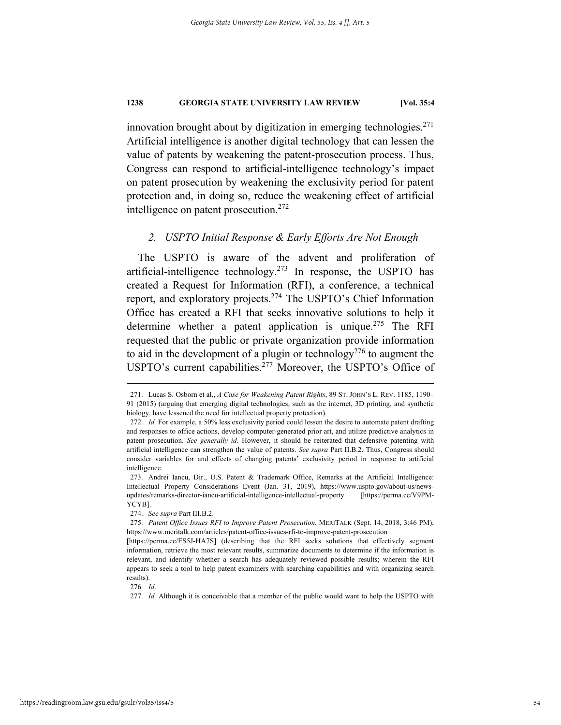innovation brought about by digitization in emerging technologies.<sup>271</sup> Artificial intelligence is another digital technology that can lessen the value of patents by weakening the patent-prosecution process. Thus, Congress can respond to artificial-intelligence technology's impact on patent prosecution by weakening the exclusivity period for patent protection and, in doing so, reduce the weakening effect of artificial intelligence on patent prosecution.<sup>272</sup>

### *2. USPTO Initial Response & Early Efforts Are Not Enough*

The USPTO is aware of the advent and proliferation of artificial-intelligence technology.<sup>273</sup> In response, the USPTO has created a Request for Information (RFI), a conference, a technical report, and exploratory projects.274 The USPTO's Chief Information Office has created a RFI that seeks innovative solutions to help it determine whether a patent application is unique.<sup>275</sup> The RFI requested that the public or private organization provide information to aid in the development of a plugin or technology<sup>276</sup> to augment the USPTO's current capabilities.<sup>277</sup> Moreover, the USPTO's Office of

 <sup>271.</sup> Lucas S. Osborn et al., *A Case for Weakening Patent Rights*, 89 ST. JOHN'S L. REV. 1185, 1190– 91 (2015) (arguing that emerging digital technologies, such as the internet, 3D printing, and synthetic biology, have lessened the need for intellectual property protection).

 <sup>272.</sup> *Id.* For example, a 50% less exclusivity period could lessen the desire to automate patent drafting and responses to office actions, develop computer-generated prior art, and utilize predictive analytics in patent prosecution. *See generally id.* However, it should be reiterated that defensive patenting with artificial intelligence can strengthen the value of patents. *See supra* Part II.B.2. Thus, Congress should consider variables for and effects of changing patents' exclusivity period in response to artificial intelligence.

 <sup>273.</sup> Andrei Iancu, Dir., U.S. Patent & Trademark Office, Remarks at the Artificial Intelligence: Intellectual Property Considerations Event (Jan. 31, 2019), https://www.uspto.gov/about-us/newsupdates/remarks-director-iancu-artificial-intelligence-intellectual-property [https://perma.cc/V9PM-YCYB].

 <sup>274.</sup> *See supra* Part III.B.2.

 <sup>275.</sup> *Patent Office Issues RFI to Improve Patent Prosecution*, MERITALK (Sept. 14, 2018, 3:46 PM), https://www.meritalk.com/articles/patent-office-issues-rfi-to-improve-patent-prosecution

<sup>[</sup>https://perma.cc/ES5J-HA7S] (describing that the RFI seeks solutions that effectively segment information, retrieve the most relevant results, summarize documents to determine if the information is relevant, and identify whether a search has adequately reviewed possible results; wherein the RFI appears to seek a tool to help patent examiners with searching capabilities and with organizing search results).

<sup>276</sup>*. Id*.

 <sup>277.</sup> *Id.* Although it is conceivable that a member of the public would want to help the USPTO with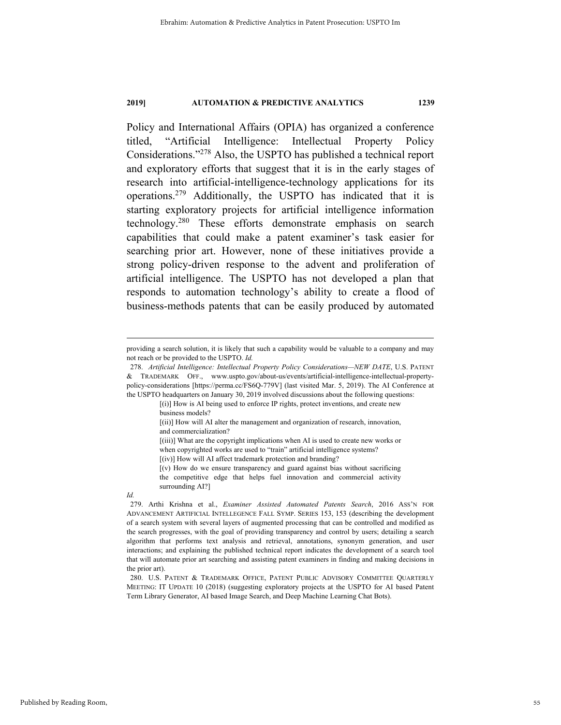Policy and International Affairs (OPIA) has organized a conference titled, "Artificial Intelligence: Intellectual Property Policy Considerations."278 Also, the USPTO has published a technical report and exploratory efforts that suggest that it is in the early stages of research into artificial-intelligence-technology applications for its operations.279 Additionally, the USPTO has indicated that it is starting exploratory projects for artificial intelligence information technology.280 These efforts demonstrate emphasis on search capabilities that could make a patent examiner's task easier for searching prior art. However, none of these initiatives provide a strong policy-driven response to the advent and proliferation of artificial intelligence. The USPTO has not developed a plan that responds to automation technology's ability to create a flood of business-methods patents that can be easily produced by automated

providing a search solution, it is likely that such a capability would be valuable to a company and may not reach or be provided to the USPTO. *Id.*

 <sup>278.</sup> *Artificial Intelligence: Intellectual Property Policy Considerations—NEW DATE*, U.S. PATENT & TRADEMARK OFF., www.uspto.gov/about-us/events/artificial-intelligence-intellectual-propertypolicy-considerations [https://perma.cc/FS6Q-779V] (last visited Mar. 5, 2019). The AI Conference at the USPTO headquarters on January 30, 2019 involved discussions about the following questions:

<sup>[(</sup>i)] How is AI being used to enforce IP rights, protect inventions, and create new business models?

<sup>[(</sup>ii)] How will AI alter the management and organization of research, innovation, and commercialization?

<sup>[(</sup>iii)] What are the copyright implications when AI is used to create new works or

when copyrighted works are used to "train" artificial intelligence systems?

<sup>[(</sup>iv)] How will AI affect trademark protection and branding?

<sup>[(</sup>v) How do we ensure transparency and guard against bias without sacrificing the competitive edge that helps fuel innovation and commercial activity surrounding AI?]

*Id.*

 <sup>279.</sup> Arthi Krishna et al., *Examiner Assisted Automated Patents Search*, 2016 ASS'N FOR ADVANCEMENT ARTIFICIAL INTELLEGENCE FALL SYMP. SERIES 153, 153 (describing the development of a search system with several layers of augmented processing that can be controlled and modified as the search progresses, with the goal of providing transparency and control by users; detailing a search algorithm that performs text analysis and retrieval, annotations, synonym generation, and user interactions; and explaining the published technical report indicates the development of a search tool that will automate prior art searching and assisting patent examiners in finding and making decisions in the prior art).

 <sup>280.</sup> U.S. PATENT & TRADEMARK OFFICE, PATENT PUBLIC ADVISORY COMMITTEE QUARTERLY MEETING: IT UPDATE 10 (2018) (suggesting exploratory projects at the USPTO for AI based Patent Term Library Generator, AI based Image Search, and Deep Machine Learning Chat Bots).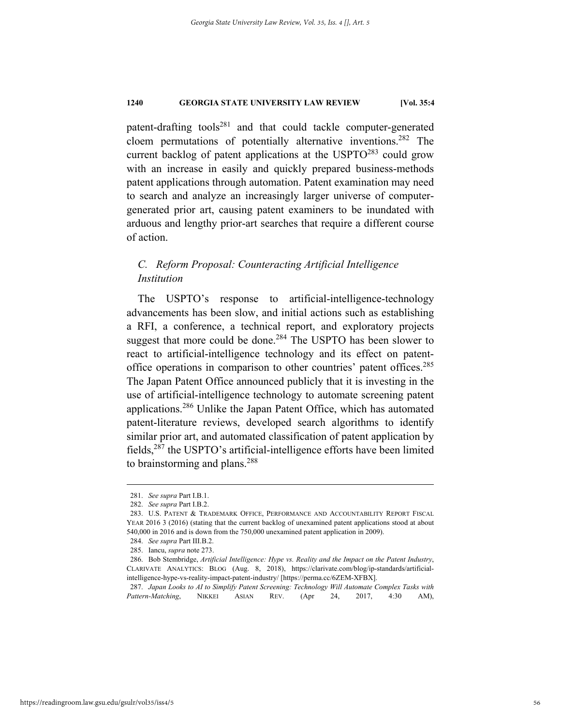patent-drafting tools<sup>281</sup> and that could tackle computer-generated cloem permutations of potentially alternative inventions.282 The current backlog of patent applications at the USPTO<sup>283</sup> could grow with an increase in easily and quickly prepared business-methods patent applications through automation. Patent examination may need to search and analyze an increasingly larger universe of computergenerated prior art, causing patent examiners to be inundated with arduous and lengthy prior-art searches that require a different course of action.

# *C. Reform Proposal: Counteracting Artificial Intelligence Institution*

The USPTO's response to artificial-intelligence-technology advancements has been slow, and initial actions such as establishing a RFI, a conference, a technical report, and exploratory projects suggest that more could be done. $284$  The USPTO has been slower to react to artificial-intelligence technology and its effect on patentoffice operations in comparison to other countries' patent offices.285 The Japan Patent Office announced publicly that it is investing in the use of artificial-intelligence technology to automate screening patent applications.<sup>286</sup> Unlike the Japan Patent Office, which has automated patent-literature reviews, developed search algorithms to identify similar prior art, and automated classification of patent application by fields, $^{287}$  the USPTO's artificial-intelligence efforts have been limited to brainstorming and plans.<sup>288</sup>

 <sup>281.</sup> *See supra* Part I.B.1.

 <sup>282.</sup> *See supra* Part I.B.2.

 <sup>283.</sup> U.S. PATENT & TRADEMARK OFFICE, PERFORMANCE AND ACCOUNTABILITY REPORT FISCAL YEAR 2016 3 (2016) (stating that the current backlog of unexamined patent applications stood at about 540,000 in 2016 and is down from the 750,000 unexamined patent application in 2009).

 <sup>284.</sup> *See supra* Part III.B.2.

 <sup>285.</sup> Iancu, *supra* note 273.

 <sup>286.</sup> Bob Stembridge, *Artificial Intelligence: Hype vs. Reality and the Impact on the Patent Industry*, CLARIVATE ANALYTICS: BLOG (Aug. 8, 2018), https://clarivate.com/blog/ip-standards/artificialintelligence-hype-vs-reality-impact-patent-industry/ [https://perma.cc/6ZEM-XFBX].

 <sup>287.</sup> *Japan Looks to AI to Simplify Patent Screening: Technology Will Automate Complex Tasks with Pattern-Matching*, NIKKEI ASIAN REV. (Apr 24, 2017, 4:30 AM),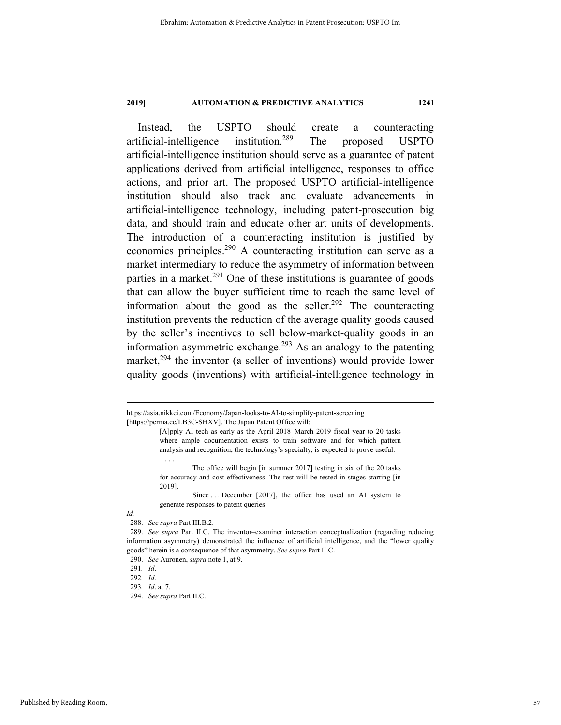Instead, the USPTO should create a counteracting artificial-intelligence institution.289 The proposed USPTO artificial-intelligence institution should serve as a guarantee of patent applications derived from artificial intelligence, responses to office actions, and prior art. The proposed USPTO artificial-intelligence institution should also track and evaluate advancements in artificial-intelligence technology, including patent-prosecution big data, and should train and educate other art units of developments. The introduction of a counteracting institution is justified by economics principles.<sup>290</sup> A counteracting institution can serve as a market intermediary to reduce the asymmetry of information between parties in a market.<sup>291</sup> One of these institutions is guarantee of goods that can allow the buyer sufficient time to reach the same level of information about the good as the seller.<sup>292</sup> The counteracting institution prevents the reduction of the average quality goods caused by the seller's incentives to sell below-market-quality goods in an information-asymmetric exchange.<sup>293</sup> As an analogy to the patenting market, $294$  the inventor (a seller of inventions) would provide lower quality goods (inventions) with artificial-intelligence technology in

. . . .

https://asia.nikkei.com/Economy/Japan-looks-to-AI-to-simplify-patent-screening [https://perma.cc/LB3C-SHXV]. The Japan Patent Office will:

<sup>[</sup>A]pply AI tech as early as the April 2018–March 2019 fiscal year to 20 tasks where ample documentation exists to train software and for which pattern analysis and recognition, the technology's specialty, is expected to prove useful.

The office will begin [in summer 2017] testing in six of the 20 tasks for accuracy and cost-effectiveness. The rest will be tested in stages starting [in 2019].

Since ... December [2017], the office has used an AI system to generate responses to patent queries.

*Id.*

 <sup>288.</sup> *See supra* Part III.B.2.

 <sup>289.</sup> *See supra* Part II.C. The inventor–examiner interaction conceptualization (regarding reducing information asymmetry) demonstrated the influence of artificial intelligence, and the "lower quality goods" herein is a consequence of that asymmetry. *See supra* Part II.C.

 <sup>290.</sup> *See* Auronen, *supra* note 1, at 9.

<sup>291</sup>*. Id*.

<sup>292</sup>*. Id*.

<sup>293</sup>*. Id*. at 7.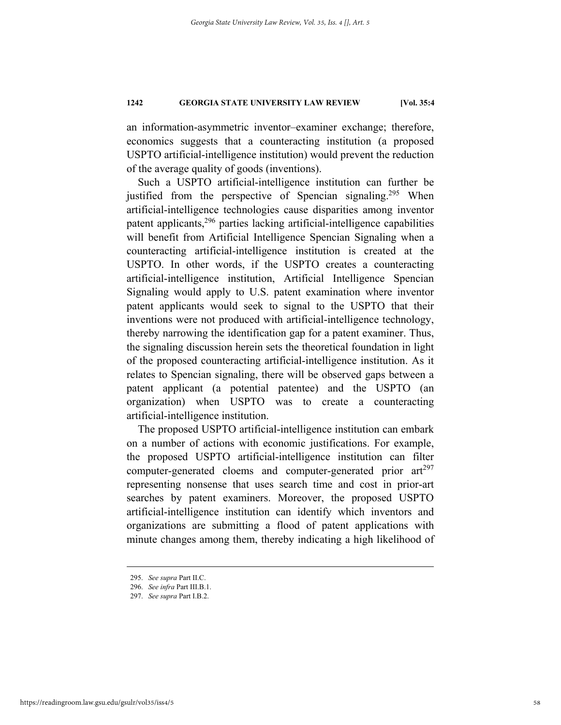an information-asymmetric inventor–examiner exchange; therefore, economics suggests that a counteracting institution (a proposed USPTO artificial-intelligence institution) would prevent the reduction of the average quality of goods (inventions).

Such a USPTO artificial-intelligence institution can further be justified from the perspective of Spencian signaling.<sup>295</sup> When artificial-intelligence technologies cause disparities among inventor patent applicants, $296$  parties lacking artificial-intelligence capabilities will benefit from Artificial Intelligence Spencian Signaling when a counteracting artificial-intelligence institution is created at the USPTO. In other words, if the USPTO creates a counteracting artificial-intelligence institution, Artificial Intelligence Spencian Signaling would apply to U.S. patent examination where inventor patent applicants would seek to signal to the USPTO that their inventions were not produced with artificial-intelligence technology, thereby narrowing the identification gap for a patent examiner. Thus, the signaling discussion herein sets the theoretical foundation in light of the proposed counteracting artificial-intelligence institution. As it relates to Spencian signaling, there will be observed gaps between a patent applicant (a potential patentee) and the USPTO (an organization) when USPTO was to create a counteracting artificial-intelligence institution.

The proposed USPTO artificial-intelligence institution can embark on a number of actions with economic justifications. For example, the proposed USPTO artificial-intelligence institution can filter computer-generated cloems and computer-generated prior  $ar<sup>297</sup>$ representing nonsense that uses search time and cost in prior-art searches by patent examiners. Moreover, the proposed USPTO artificial-intelligence institution can identify which inventors and organizations are submitting a flood of patent applications with minute changes among them, thereby indicating a high likelihood of

 <sup>295.</sup> *See supra* Part II.C.

 <sup>296.</sup> *See infra* Part III.B.1.

 <sup>297.</sup> *See supra* Part I.B.2.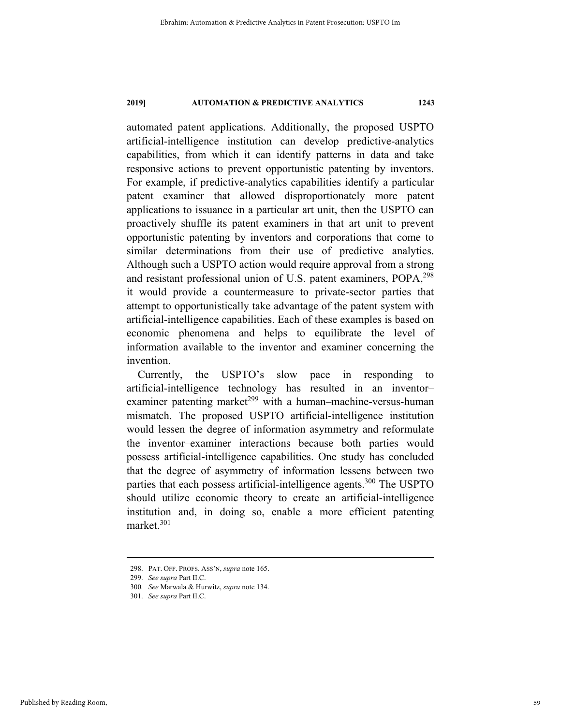automated patent applications. Additionally, the proposed USPTO artificial-intelligence institution can develop predictive-analytics capabilities, from which it can identify patterns in data and take responsive actions to prevent opportunistic patenting by inventors. For example, if predictive-analytics capabilities identify a particular patent examiner that allowed disproportionately more patent applications to issuance in a particular art unit, then the USPTO can proactively shuffle its patent examiners in that art unit to prevent opportunistic patenting by inventors and corporations that come to similar determinations from their use of predictive analytics. Although such a USPTO action would require approval from a strong and resistant professional union of U.S. patent examiners, POPA, 298 it would provide a countermeasure to private-sector parties that attempt to opportunistically take advantage of the patent system with artificial-intelligence capabilities. Each of these examples is based on economic phenomena and helps to equilibrate the level of information available to the inventor and examiner concerning the invention.

Currently, the USPTO's slow pace in responding to artificial-intelligence technology has resulted in an inventor– examiner patenting market<sup>299</sup> with a human–machine-versus-human mismatch. The proposed USPTO artificial-intelligence institution would lessen the degree of information asymmetry and reformulate the inventor–examiner interactions because both parties would possess artificial-intelligence capabilities. One study has concluded that the degree of asymmetry of information lessens between two parties that each possess artificial-intelligence agents.<sup>300</sup> The USPTO should utilize economic theory to create an artificial-intelligence institution and, in doing so, enable a more efficient patenting market.301

 <sup>298.</sup> PAT. OFF. PROFS. ASS'N, *supra* note 165.

 <sup>299.</sup> *See supra* Part II.C.

<sup>300</sup>*. See* Marwala & Hurwitz, *supra* note 134.

 <sup>301.</sup> *See supra* Part II.C.